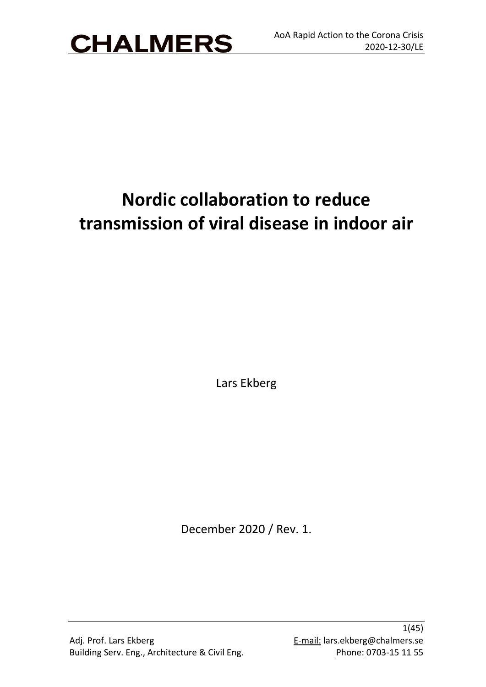

# **Nordic collaboration to reduce transmission of viral disease in indoor air**

Lars Ekberg

December 2020 / Rev. 1.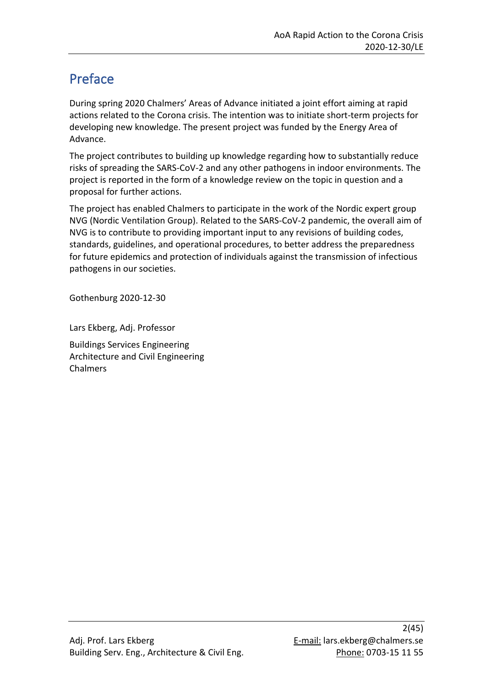## <span id="page-1-0"></span>Preface

During spring 2020 Chalmers' Areas of Advance initiated a joint effort aiming at rapid actions related to the Corona crisis. The intention was to initiate short-term projects for developing new knowledge. The present project was funded by the Energy Area of Advance.

The project contributes to building up knowledge regarding how to substantially reduce risks of spreading the SARS-CoV-2 and any other pathogens in indoor environments. The project is reported in the form of a knowledge review on the topic in question and a proposal for further actions.

The project has enabled Chalmers to participate in the work of the Nordic expert group NVG (Nordic Ventilation Group). Related to the SARS-CoV-2 pandemic, the overall aim of NVG is to contribute to providing important input to any revisions of building codes, standards, guidelines, and operational procedures, to better address the preparedness for future epidemics and protection of individuals against the transmission of infectious pathogens in our societies.

Gothenburg 2020-12-30

Lars Ekberg, Adj. Professor

Buildings Services Engineering Architecture and Civil Engineering Chalmers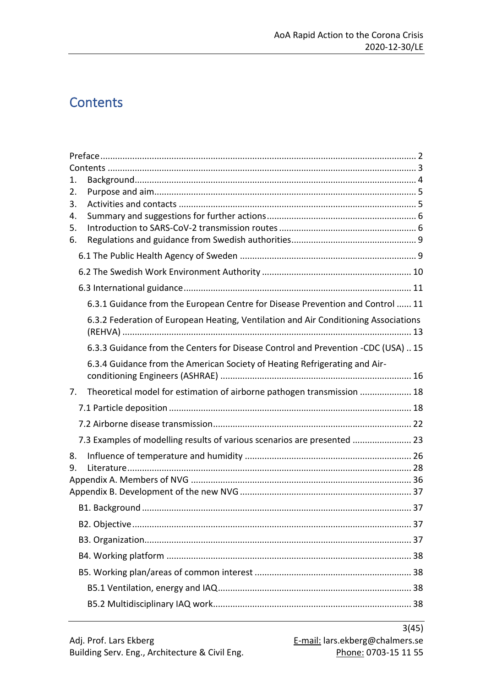## <span id="page-2-0"></span>**Contents**

| 1.       |                                                                                     |  |  |  |  |
|----------|-------------------------------------------------------------------------------------|--|--|--|--|
| 2.<br>3. |                                                                                     |  |  |  |  |
| 4.       |                                                                                     |  |  |  |  |
| 5.       |                                                                                     |  |  |  |  |
| 6.       |                                                                                     |  |  |  |  |
|          |                                                                                     |  |  |  |  |
|          |                                                                                     |  |  |  |  |
|          |                                                                                     |  |  |  |  |
|          | 6.3.1 Guidance from the European Centre for Disease Prevention and Control  11      |  |  |  |  |
|          | 6.3.2 Federation of European Heating, Ventilation and Air Conditioning Associations |  |  |  |  |
|          | 6.3.3 Guidance from the Centers for Disease Control and Prevention -CDC (USA)  15   |  |  |  |  |
|          | 6.3.4 Guidance from the American Society of Heating Refrigerating and Air-          |  |  |  |  |
| 7.       | Theoretical model for estimation of airborne pathogen transmission  18              |  |  |  |  |
|          |                                                                                     |  |  |  |  |
|          |                                                                                     |  |  |  |  |
|          | 7.3 Examples of modelling results of various scenarios are presented  23            |  |  |  |  |
| 8.       |                                                                                     |  |  |  |  |
| 9.       |                                                                                     |  |  |  |  |
|          |                                                                                     |  |  |  |  |
|          |                                                                                     |  |  |  |  |
|          |                                                                                     |  |  |  |  |
|          |                                                                                     |  |  |  |  |
|          |                                                                                     |  |  |  |  |
|          |                                                                                     |  |  |  |  |
|          |                                                                                     |  |  |  |  |
|          |                                                                                     |  |  |  |  |
|          |                                                                                     |  |  |  |  |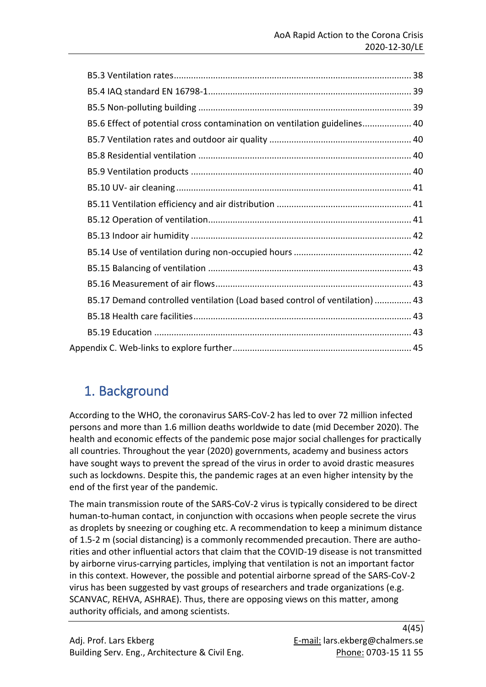| B5.6 Effect of potential cross contamination on ventilation guidelines 40   |  |
|-----------------------------------------------------------------------------|--|
|                                                                             |  |
|                                                                             |  |
|                                                                             |  |
|                                                                             |  |
|                                                                             |  |
|                                                                             |  |
|                                                                             |  |
|                                                                             |  |
|                                                                             |  |
|                                                                             |  |
| B5.17 Demand controlled ventilation (Load based control of ventilation)  43 |  |
|                                                                             |  |
|                                                                             |  |
|                                                                             |  |

## <span id="page-3-0"></span>1. Background

According to the WHO, the coronavirus SARS-CoV-2 has led to over 72 million infected persons and more than 1.6 million deaths worldwide to date (mid December 2020). The health and economic effects of the pandemic pose major social challenges for practically all countries. Throughout the year (2020) governments, academy and business actors have sought ways to prevent the spread of the virus in order to avoid drastic measures such as lockdowns. Despite this, the pandemic rages at an even higher intensity by the end of the first year of the pandemic.

The main transmission route of the SARS-CoV-2 virus is typically considered to be direct human-to-human contact, in conjunction with occasions when people secrete the virus as droplets by sneezing or coughing etc. A recommendation to keep a minimum distance of 1.5-2 m (social distancing) is a commonly recommended precaution. There are authorities and other influential actors that claim that the COVID-19 disease is not transmitted by airborne virus-carrying particles, implying that ventilation is not an important factor in this context. However, the possible and potential airborne spread of the SARS-CoV-2 virus has been suggested by vast groups of researchers and trade organizations (e.g. SCANVAC, REHVA, ASHRAE). Thus, there are opposing views on this matter, among authority officials, and among scientists.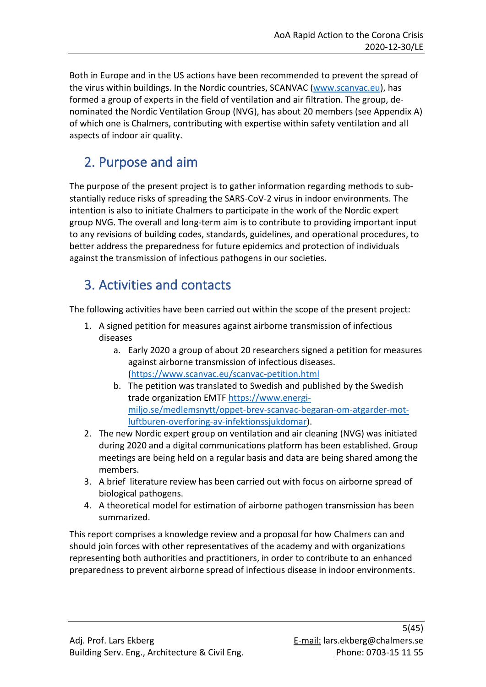Both in Europe and in the US actions have been recommended to prevent the spread of the virus within buildings. In the Nordic countries, SCANVAC [\(www.scanvac.eu\)](http://www.scanvac.eu/), has formed a group of experts in the field of ventilation and air filtration. The group, denominated the Nordic Ventilation Group (NVG), has about 20 members (see Appendix A) of which one is Chalmers, contributing with expertise within safety ventilation and all aspects of indoor air quality.

## <span id="page-4-0"></span>2. Purpose and aim

The purpose of the present project is to gather information regarding methods to substantially reduce risks of spreading the SARS-CoV-2 virus in indoor environments. The intention is also to initiate Chalmers to participate in the work of the Nordic expert group NVG. The overall and long-term aim is to contribute to providing important input to any revisions of building codes, standards, guidelines, and operational procedures, to better address the preparedness for future epidemics and protection of individuals against the transmission of infectious pathogens in our societies.

## <span id="page-4-1"></span>3. Activities and contacts

The following activities have been carried out within the scope of the present project:

- 1. A signed petition for measures against airborne transmission of infectious diseases
	- a. Early 2020 a group of about 20 researchers signed a petition for measures against airborne transmission of infectious diseases. [\(https://www.scanvac.eu/scanvac-petition.html](https://www.scanvac.eu/scanvac-petition.html)
	- b. The petition was translated to Swedish and published by the Swedish trade organization EMTF [https://www.energi](https://www.energi-miljo.se/medlemsnytt/oppet-brev-scanvac-begaran-om-atgarder-mot-luftburen-overforing-av-infektionssjukdomar)[miljo.se/medlemsnytt/oppet-brev-scanvac-begaran-om-atgarder-mot](https://www.energi-miljo.se/medlemsnytt/oppet-brev-scanvac-begaran-om-atgarder-mot-luftburen-overforing-av-infektionssjukdomar)[luftburen-overforing-av-infektionssjukdomar\)](https://www.energi-miljo.se/medlemsnytt/oppet-brev-scanvac-begaran-om-atgarder-mot-luftburen-overforing-av-infektionssjukdomar).
- 2. The new Nordic expert group on ventilation and air cleaning (NVG) was initiated during 2020 and a digital communications platform has been established. Group meetings are being held on a regular basis and data are being shared among the members.
- 3. A brief literature review has been carried out with focus on airborne spread of biological pathogens.
- 4. A theoretical model for estimation of airborne pathogen transmission has been summarized.

This report comprises a knowledge review and a proposal for how Chalmers can and should join forces with other representatives of the academy and with organizations representing both authorities and practitioners, in order to contribute to an enhanced preparedness to prevent airborne spread of infectious disease in indoor environments.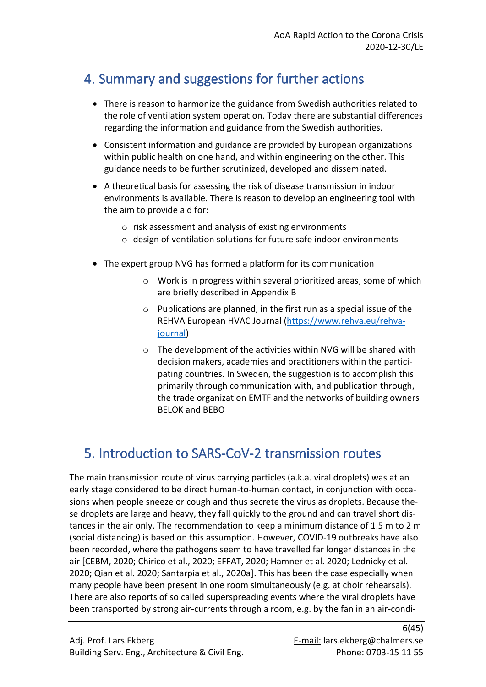## <span id="page-5-0"></span>4. Summary and suggestions for further actions

- There is reason to harmonize the guidance from Swedish authorities related to the role of ventilation system operation. Today there are substantial differences regarding the information and guidance from the Swedish authorities.
- Consistent information and guidance are provided by European organizations within public health on one hand, and within engineering on the other. This guidance needs to be further scrutinized, developed and disseminated.
- A theoretical basis for assessing the risk of disease transmission in indoor environments is available. There is reason to develop an engineering tool with the aim to provide aid for:
	- o risk assessment and analysis of existing environments
	- o design of ventilation solutions for future safe indoor environments
- The expert group NVG has formed a platform for its communication
	- o Work is in progress within several prioritized areas, some of which are briefly described in Appendix B
	- o Publications are planned, in the first run as a special issue of the REHVA European HVAC Journal [\(https://www.rehva.eu/rehva](https://www.rehva.eu/rehva-journal)[journal\)](https://www.rehva.eu/rehva-journal)
	- o The development of the activities within NVG will be shared with decision makers, academies and practitioners within the participating countries. In Sweden, the suggestion is to accomplish this primarily through communication with, and publication through, the trade organization EMTF and the networks of building owners BELOK and BEBO

## <span id="page-5-1"></span>5. Introduction to SARS-CoV-2 transmission routes

The main transmission route of virus carrying particles (a.k.a. viral droplets) was at an early stage considered to be direct human-to-human contact, in conjunction with occasions when people sneeze or cough and thus secrete the virus as droplets. Because these droplets are large and heavy, they fall quickly to the ground and can travel short distances in the air only. The recommendation to keep a minimum distance of 1.5 m to 2 m (social distancing) is based on this assumption. However, COVID-19 outbreaks have also been recorded, where the pathogens seem to have travelled far longer distances in the air [CEBM, 2020; Chirico et al., 2020; EFFAT, 2020; Hamner et al. 2020; Lednicky et al. 2020; Qian et al. 2020; Santarpia et al., 2020a]. This has been the case especially when many people have been present in one room simultaneously (e.g. at choir rehearsals). There are also reports of so called superspreading events where the viral droplets have been transported by strong air-currents through a room, e.g. by the fan in an air-condi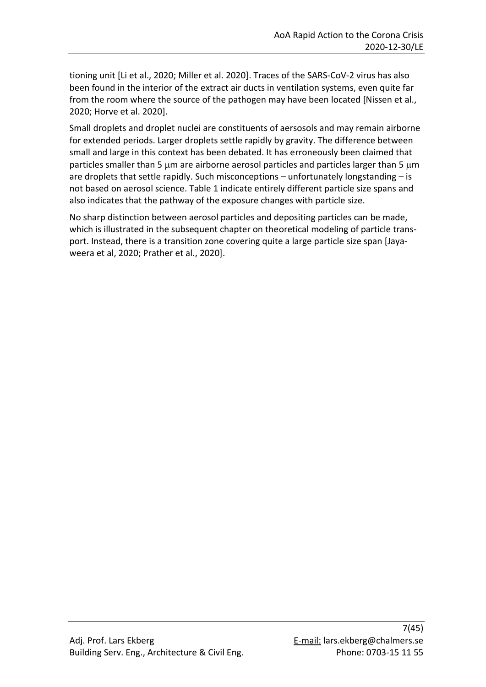tioning unit [Li et al., 2020; Miller et al. 2020]. Traces of the SARS-CoV-2 virus has also been found in the interior of the extract air ducts in ventilation systems, even quite far from the room where the source of the pathogen may have been located [Nissen et al., 2020; Horve et al. 2020].

Small droplets and droplet nuclei are constituents of aersosols and may remain airborne for extended periods. Larger droplets settle rapidly by gravity. The difference between small and large in this context has been debated. It has erroneously been claimed that particles smaller than 5  $\mu$ m are airborne aerosol particles and particles larger than 5  $\mu$ m are droplets that settle rapidly. Such misconceptions – unfortunately longstanding – is not based on aerosol science. Table 1 indicate entirely different particle size spans and also indicates that the pathway of the exposure changes with particle size.

No sharp distinction between aerosol particles and depositing particles can be made, which is illustrated in the subsequent chapter on theoretical modeling of particle transport. Instead, there is a transition zone covering quite a large particle size span [Jayaweera et al, 2020; Prather et al., 2020].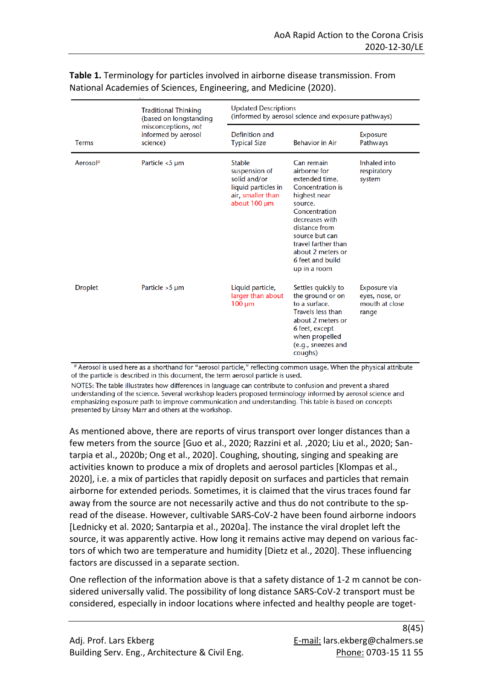|                      | <b>Traditional Thinking</b><br>(based on longstanding<br>misconceptions, not<br>informed by aerosol<br>science) | <b>Updated Descriptions</b><br>(informed by aerosol science and exposure pathways)                         |                                                                                                                                                                                                                                                   |                                                           |  |
|----------------------|-----------------------------------------------------------------------------------------------------------------|------------------------------------------------------------------------------------------------------------|---------------------------------------------------------------------------------------------------------------------------------------------------------------------------------------------------------------------------------------------------|-----------------------------------------------------------|--|
| <b>Terms</b>         |                                                                                                                 | Definition and<br><b>Typical Size</b>                                                                      | <b>Behavior in Air</b>                                                                                                                                                                                                                            | <b>Exposure</b><br>Pathways                               |  |
| Aerosol <sup>a</sup> | Particle <5 µm                                                                                                  | <b>Stable</b><br>suspension of<br>solid and/or<br>liquid particles in<br>air, smaller than<br>about 100 um | Can remain<br>airborne for<br>extended time.<br>Concentration is<br>highest near<br>source.<br>Concentration<br>decreases with<br>distance from<br>source but can<br>travel farther than<br>about 2 meters or<br>6 feet and build<br>up in a room | <b>Inhaled</b> into<br>respiratory<br>system              |  |
| <b>Droplet</b>       | Particle $>5 \mu m$                                                                                             | Liquid particle,<br>larger than about<br>$100 \mu m$                                                       | Settles quickly to<br>the ground or on<br>to a surface.<br><b>Travels less than</b><br>about 2 meters or<br>6 feet, except<br>when propelled<br>(e.g., sneezes and<br>coughs)                                                                     | Exposure via<br>eyes, nose, or<br>mouth at close<br>range |  |

#### **Table 1.** Terminology for particles involved in airborne disease transmission. From National Academies of Sciences, Engineering, and Medicine (2020).

<sup>a</sup> Aerosol is used here as a shorthand for "aerosol particle," reflecting common usage. When the physical attribute of the particle is described in this document, the term aerosol particle is used.

NOTES: The table illustrates how differences in language can contribute to confusion and prevent a shared understanding of the science. Several workshop leaders proposed terminology informed by aerosol science and emphasizing exposure path to improve communication and understanding. This table is based on concepts presented by Linsey Marr and others at the workshop.

As mentioned above, there are reports of virus transport over longer distances than a few meters from the source [Guo et al., 2020; Razzini et al. ,2020; Liu et al., 2020; Santarpia et al., 2020b; Ong et al., 2020]. Coughing, shouting, singing and speaking are activities known to produce a mix of droplets and aerosol particles [Klompas et al., 2020], i.e. a mix of particles that rapidly deposit on surfaces and particles that remain airborne for extended periods. Sometimes, it is claimed that the virus traces found far away from the source are not necessarily active and thus do not contribute to the spread of the disease. However, cultivable SARS-CoV-2 have been found airborne indoors [Lednicky et al. 2020; Santarpia et al., 2020a]. The instance the viral droplet left the source, it was apparently active. How long it remains active may depend on various factors of which two are temperature and humidity [Dietz et al., 2020]. These influencing factors are discussed in a separate section.

One reflection of the information above is that a safety distance of 1-2 m cannot be considered universally valid. The possibility of long distance SARS-CoV-2 transport must be considered, especially in indoor locations where infected and healthy people are toget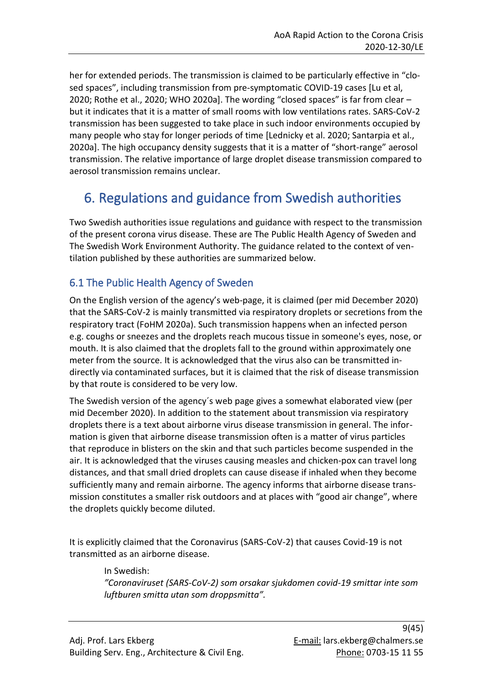her for extended periods. The transmission is claimed to be particularly effective in "closed spaces", including transmission from pre-symptomatic COVID-19 cases [Lu et al, 2020; Rothe et al., 2020; WHO 2020a]. The wording "closed spaces" is far from clear – but it indicates that it is a matter of small rooms with low ventilations rates. SARS-CoV-2 transmission has been suggested to take place in such indoor environments occupied by many people who stay for longer periods of time [Lednicky et al. 2020; Santarpia et al., 2020a]. The high occupancy density suggests that it is a matter of "short-range" aerosol transmission. The relative importance of large droplet disease transmission compared to aerosol transmission remains unclear.

## <span id="page-8-0"></span>6. Regulations and guidance from Swedish authorities

Two Swedish authorities issue regulations and guidance with respect to the transmission of the present corona virus disease. These are The Public Health Agency of Sweden and The Swedish Work Environment Authority. The guidance related to the context of ventilation published by these authorities are summarized below.

## <span id="page-8-1"></span>6.1 The Public Health Agency of Sweden

On the English version of the agency's web-page, it is claimed (per mid December 2020) that the SARS-CoV-2 is mainly transmitted via respiratory droplets or secretions from the respiratory tract (FoHM 2020a). Such transmission happens when an infected person e.g. coughs or sneezes and the droplets reach mucous tissue in someone's eyes, nose, or mouth. It is also claimed that the droplets fall to the ground within approximately one meter from the source. It is acknowledged that the virus also can be transmitted indirectly via contaminated surfaces, but it is claimed that the risk of disease transmission by that route is considered to be very low.

The Swedish version of the agency´s web page gives a somewhat elaborated view (per mid December 2020). In addition to the statement about transmission via respiratory droplets there is a text about airborne virus disease transmission in general. The information is given that airborne disease transmission often is a matter of virus particles that reproduce in blisters on the skin and that such particles become suspended in the air. It is acknowledged that the viruses causing measles and chicken-pox can travel long distances, and that small dried droplets can cause disease if inhaled when they become sufficiently many and remain airborne. The agency informs that airborne disease transmission constitutes a smaller risk outdoors and at places with "good air change", where the droplets quickly become diluted.

It is explicitly claimed that the Coronavirus (SARS-CoV-2) that causes Covid-19 is not transmitted as an airborne disease.

> In Swedish: *"Coronaviruset (SARS-CoV-2) som orsakar sjukdomen covid-19 smittar inte som luftburen smitta utan som droppsmitta".*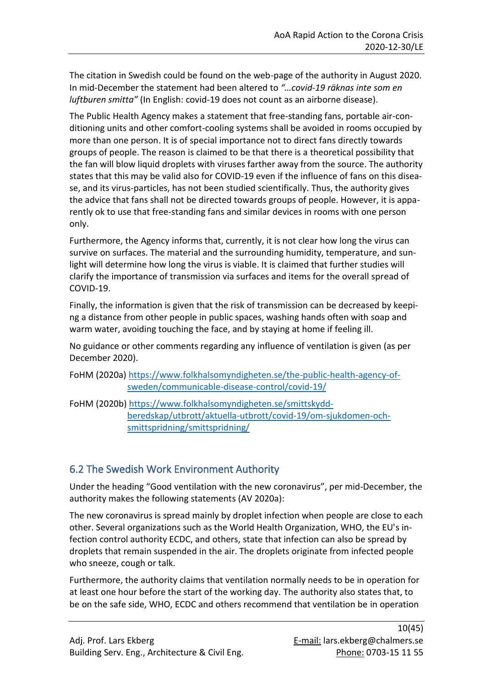The citation in Swedish could be found on the web-page of the authority in August 2020. In mid-December the statement had been altered to *"…covid-19 räknas inte som en luftburen smitta"* (In English: covid-19 does not count as an airborne disease).

The Public Health Agency makes a statement that free-standing fans, portable air-conditioning units and other comfort-cooling systems shall be avoided in rooms occupied by more than one person. It is of special importance not to direct fans directly towards groups of people. The reason is claimed to be that there is a theoretical possibility that the fan will blow liquid droplets with viruses farther away from the source. The authority states that this may be valid also for COVID-19 even if the influence of fans on this disease, and its virus-particles, has not been studied scientifically. Thus, the authority gives the advice that fans shall not be directed towards groups of people. However, it is apparently ok to use that free-standing fans and similar devices in rooms with one person only.

Furthermore, the Agency informs that, currently, it is not clear how long the virus can survive on surfaces. The material and the surrounding humidity, temperature, and sunlight will determine how long the virus is viable. It is claimed that further studies will clarify the importance of transmission via surfaces and items for the overall spread of COVID-19.

Finally, the information is given that the risk of transmission can be decreased by keeping a distance from other people in public spaces, washing hands often with soap and warm water, avoiding touching the face, and by staying at home if feeling ill.

No guidance or other comments regarding any influence of ventilation is given (as per December 2020).

FoHM (2020a) [https://www.folkhalsomyndigheten.se/the-public-health-agency-of](https://www.folkhalsomyndigheten.se/the-public-health-agency-of-sweden/communicable-disease-control/covid-19/)[sweden/communicable-disease-control/covid-19/](https://www.folkhalsomyndigheten.se/the-public-health-agency-of-sweden/communicable-disease-control/covid-19/)

FoHM (2020b) [https://www.folkhalsomyndigheten.se/smittskydd](https://www.folkhalsomyndigheten.se/smittskydd-beredskap/utbrott/aktuella-utbrott/covid-19/om-sjukdomen-och-smittspridning/smittspridning/)[beredskap/utbrott/aktuella-utbrott/covid-19/om-sjukdomen-och](https://www.folkhalsomyndigheten.se/smittskydd-beredskap/utbrott/aktuella-utbrott/covid-19/om-sjukdomen-och-smittspridning/smittspridning/)[smittspridning/smittspridning/](https://www.folkhalsomyndigheten.se/smittskydd-beredskap/utbrott/aktuella-utbrott/covid-19/om-sjukdomen-och-smittspridning/smittspridning/)

## <span id="page-9-0"></span>6.2 The Swedish Work Environment Authority

Under the heading "Good ventilation with the new coronavirus", per mid-December, the authority makes the following statements (AV 2020a):

The new coronavirus is spread mainly by droplet infection when people are close to each other. Several organizations such as the World Health Organization, WHO, the EU's infection control authority ECDC, and others, state that infection can also be spread by droplets that remain suspended in the air. The droplets originate from infected people who sneeze, cough or talk.

Furthermore, the authority claims that ventilation normally needs to be in operation for at least one hour before the start of the working day. The authority also states that, to be on the safe side, WHO, ECDC and others recommend that ventilation be in operation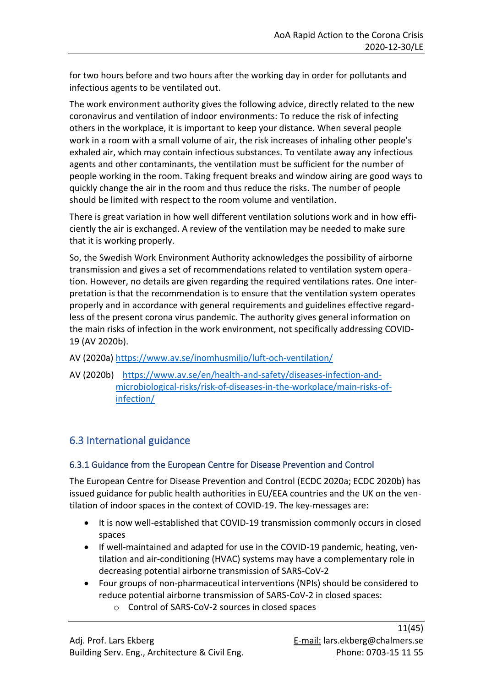for two hours before and two hours after the working day in order for pollutants and infectious agents to be ventilated out.

The work environment authority gives the following advice, directly related to the new coronavirus and ventilation of indoor environments: To reduce the risk of infecting others in the workplace, it is important to keep your distance. When several people work in a room with a small volume of air, the risk increases of inhaling other people's exhaled air, which may contain infectious substances. To ventilate away any infectious agents and other contaminants, the ventilation must be sufficient for the number of people working in the room. Taking frequent breaks and window airing are good ways to quickly change the air in the room and thus reduce the risks. The number of people should be limited with respect to the room volume and ventilation.

There is great variation in how well different ventilation solutions work and in how efficiently the air is exchanged. A review of the ventilation may be needed to make sure that it is working properly.

So, the Swedish Work Environment Authority acknowledges the possibility of airborne transmission and gives a set of recommendations related to ventilation system operation. However, no details are given regarding the required ventilations rates. One interpretation is that the recommendation is to ensure that the ventilation system operates properly and in accordance with general requirements and guidelines effective regardless of the present corona virus pandemic. The authority gives general information on the main risks of infection in the work environment, not specifically addressing COVID-19 (AV 2020b).

- AV (2020a) <https://www.av.se/inomhusmiljo/luft-och-ventilation/>
- AV (2020b) [https://www.av.se/en/health-and-safety/diseases-infection-and](https://www.av.se/en/health-and-safety/diseases-infection-and-microbiological-risks/risk-of-diseases-in-the-workplace/main-risks-of-infection/)[microbiological-risks/risk-of-diseases-in-the-workplace/main-risks-of](https://www.av.se/en/health-and-safety/diseases-infection-and-microbiological-risks/risk-of-diseases-in-the-workplace/main-risks-of-infection/)[infection/](https://www.av.se/en/health-and-safety/diseases-infection-and-microbiological-risks/risk-of-diseases-in-the-workplace/main-risks-of-infection/)

## <span id="page-10-0"></span>6.3 International guidance

## <span id="page-10-1"></span>6.3.1 Guidance from the European Centre for Disease Prevention and Control

The European Centre for Disease Prevention and Control (ECDC 2020a; ECDC 2020b) has issued guidance for public health authorities in EU/EEA countries and the UK on the ventilation of indoor spaces in the context of COVID-19. The key-messages are:

- It is now well-established that COVID-19 transmission commonly occurs in closed spaces
- If well-maintained and adapted for use in the COVID-19 pandemic, heating, ventilation and air-conditioning (HVAC) systems may have a complementary role in decreasing potential airborne transmission of SARS-CoV-2
- Four groups of non-pharmaceutical interventions (NPIs) should be considered to reduce potential airborne transmission of SARS-CoV-2 in closed spaces:
	- o Control of SARS-CoV-2 sources in closed spaces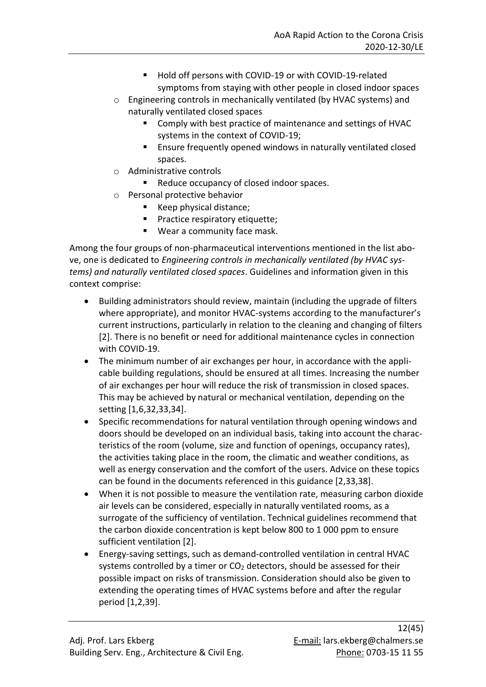- Hold off persons with COVID-19 or with COVID-19-related symptoms from staying with other people in closed indoor spaces
- o Engineering controls in mechanically ventilated (by HVAC systems) and naturally ventilated closed spaces
	- Comply with best practice of maintenance and settings of HVAC systems in the context of COVID-19;
	- Ensure frequently opened windows in naturally ventilated closed spaces.
- o Administrative controls
	- Reduce occupancy of closed indoor spaces.
- o Personal protective behavior
	- Keep physical distance;
	- Practice respiratory etiquette;
	- Wear a community face mask.

Among the four groups of non-pharmaceutical interventions mentioned in the list above, one is dedicated to *Engineering controls in mechanically ventilated (by HVAC systems) and naturally ventilated closed spaces*. Guidelines and information given in this context comprise:

- Building administrators should review, maintain (including the upgrade of filters where appropriate), and monitor HVAC-systems according to the manufacturer's current instructions, particularly in relation to the cleaning and changing of filters [2]. There is no benefit or need for additional maintenance cycles in connection with COVID-19.
- The minimum number of air exchanges per hour, in accordance with the applicable building regulations, should be ensured at all times. Increasing the number of air exchanges per hour will reduce the risk of transmission in closed spaces. This may be achieved by natural or mechanical ventilation, depending on the setting [1,6,32,33,34].
- Specific recommendations for natural ventilation through opening windows and doors should be developed on an individual basis, taking into account the characteristics of the room (volume, size and function of openings, occupancy rates), the activities taking place in the room, the climatic and weather conditions, as well as energy conservation and the comfort of the users. Advice on these topics can be found in the documents referenced in this guidance [2,33,38].
- When it is not possible to measure the ventilation rate, measuring carbon dioxide air levels can be considered, especially in naturally ventilated rooms, as a surrogate of the sufficiency of ventilation. Technical guidelines recommend that the carbon dioxide concentration is kept below 800 to 1 000 ppm to ensure sufficient ventilation [2].
- Energy-saving settings, such as demand-controlled ventilation in central HVAC systems controlled by a timer or  $CO<sub>2</sub>$  detectors, should be assessed for their possible impact on risks of transmission. Consideration should also be given to extending the operating times of HVAC systems before and after the regular period [1,2,39].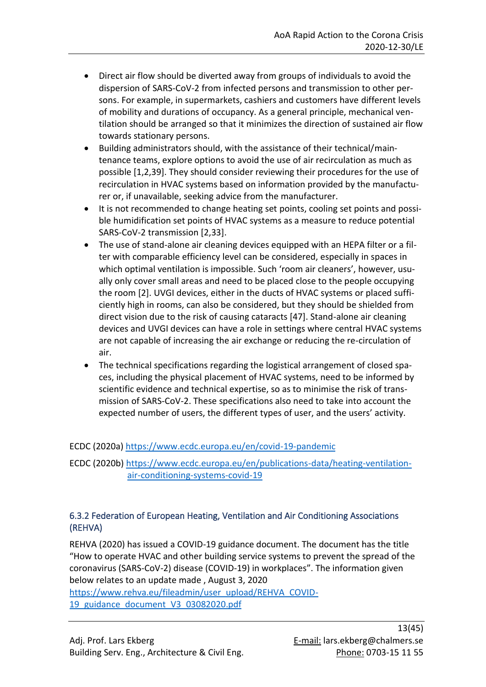- Direct air flow should be diverted away from groups of individuals to avoid the dispersion of SARS-CoV-2 from infected persons and transmission to other persons. For example, in supermarkets, cashiers and customers have different levels of mobility and durations of occupancy. As a general principle, mechanical ventilation should be arranged so that it minimizes the direction of sustained air flow towards stationary persons.
- Building administrators should, with the assistance of their technical/maintenance teams, explore options to avoid the use of air recirculation as much as possible [1,2,39]. They should consider reviewing their procedures for the use of recirculation in HVAC systems based on information provided by the manufacturer or, if unavailable, seeking advice from the manufacturer.
- It is not recommended to change heating set points, cooling set points and possible humidification set points of HVAC systems as a measure to reduce potential SARS-CoV-2 transmission [2,33].
- The use of stand-alone air cleaning devices equipped with an HEPA filter or a filter with comparable efficiency level can be considered, especially in spaces in which optimal ventilation is impossible. Such 'room air cleaners', however, usually only cover small areas and need to be placed close to the people occupying the room [2]. UVGI devices, either in the ducts of HVAC systems or placed sufficiently high in rooms, can also be considered, but they should be shielded from direct vision due to the risk of causing cataracts [47]. Stand-alone air cleaning devices and UVGI devices can have a role in settings where central HVAC systems are not capable of increasing the air exchange or reducing the re-circulation of air.
- The technical specifications regarding the logistical arrangement of closed spaces, including the physical placement of HVAC systems, need to be informed by scientific evidence and technical expertise, so as to minimise the risk of transmission of SARS-CoV-2. These specifications also need to take into account the expected number of users, the different types of user, and the users' activity.

### ECDC (2020a) <https://www.ecdc.europa.eu/en/covid-19-pandemic>

ECDC (2020b) [https://www.ecdc.europa.eu/en/publications-data/heating-ventilation](https://www.ecdc.europa.eu/en/publications-data/heating-ventilation-air-conditioning-systems-covid-19)[air-conditioning-systems-covid-19](https://www.ecdc.europa.eu/en/publications-data/heating-ventilation-air-conditioning-systems-covid-19)

### <span id="page-12-0"></span>6.3.2 Federation of European Heating, Ventilation and Air Conditioning Associations (REHVA)

REHVA (2020) has issued a COVID-19 guidance document. The document has the title "How to operate HVAC and other building service systems to prevent the spread of the coronavirus (SARS-CoV-2) disease (COVID-19) in workplaces". The information given below relates to an update made , August 3, 2020

[https://www.rehva.eu/fileadmin/user\\_upload/REHVA\\_COVID-](https://www.rehva.eu/fileadmin/user_upload/REHVA_COVID-19_guidance_document_V3_03082020.pdf)[19\\_guidance\\_document\\_V3\\_03082020.pdf](https://www.rehva.eu/fileadmin/user_upload/REHVA_COVID-19_guidance_document_V3_03082020.pdf)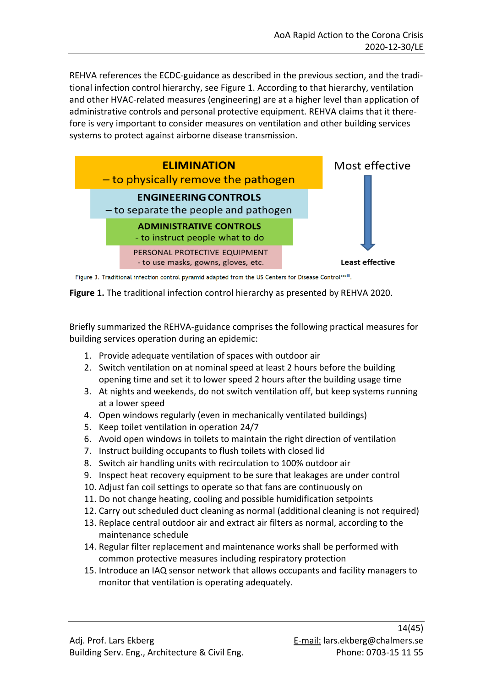REHVA references the ECDC-guidance as described in the previous section, and the traditional infection control hierarchy, see Figure 1. According to that hierarchy, ventilation and other HVAC-related measures (engineering) are at a higher level than application of administrative controls and personal protective equipment. REHVA claims that it therefore is very important to consider measures on ventilation and other building services systems to protect against airborne disease transmission.



Figure 3. Traditional infection control pyramid adapted from the US Centers for Disease Control<sup>xxiii</sup>.

**Figure 1.** The traditional infection control hierarchy as presented by REHVA 2020.

Briefly summarized the REHVA-guidance comprises the following practical measures for building services operation during an epidemic:

- 1. Provide adequate ventilation of spaces with outdoor air
- 2. Switch ventilation on at nominal speed at least 2 hours before the building opening time and set it to lower speed 2 hours after the building usage time
- 3. At nights and weekends, do not switch ventilation off, but keep systems running at a lower speed
- 4. Open windows regularly (even in mechanically ventilated buildings)
- 5. Keep toilet ventilation in operation 24/7
- 6. Avoid open windows in toilets to maintain the right direction of ventilation
- 7. Instruct building occupants to flush toilets with closed lid
- 8. Switch air handling units with recirculation to 100% outdoor air
- 9. Inspect heat recovery equipment to be sure that leakages are under control
- 10. Adjust fan coil settings to operate so that fans are continuously on
- 11. Do not change heating, cooling and possible humidification setpoints
- 12. Carry out scheduled duct cleaning as normal (additional cleaning is not required)
- 13. Replace central outdoor air and extract air filters as normal, according to the maintenance schedule
- 14. Regular filter replacement and maintenance works shall be performed with common protective measures including respiratory protection
- 15. Introduce an IAQ sensor network that allows occupants and facility managers to monitor that ventilation is operating adequately.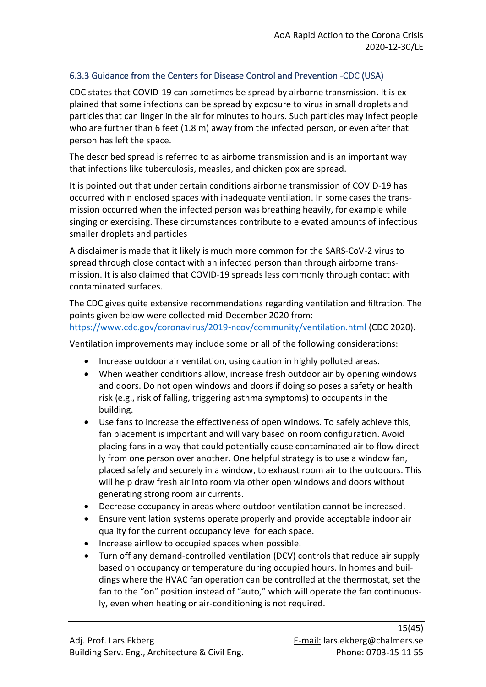### <span id="page-14-0"></span>6.3.3 Guidance from the Centers for Disease Control and Prevention -CDC (USA)

CDC states that COVID-19 can sometimes be spread by airborne transmission. It is explained that some infections can be spread by exposure to virus in small droplets and particles that can linger in the air for minutes to hours. Such particles may infect people who are further than 6 feet (1.8 m) away from the infected person, or even after that person has left the space.

The described spread is referred to as airborne transmission and is an important way that infections like tuberculosis, measles, and chicken pox are spread.

It is pointed out that under certain conditions airborne transmission of COVID-19 has occurred within enclosed spaces with inadequate ventilation. In some cases the transmission occurred when the infected person was breathing heavily, for example while singing or exercising. These circumstances contribute to elevated amounts of infectious smaller droplets and particles

A disclaimer is made that it likely is much more common for the SARS-CoV-2 virus to spread through close contact with an infected person than through airborne transmission. It is also claimed that COVID-19 spreads less commonly through contact with contaminated surfaces.

The CDC gives quite extensive recommendations regarding ventilation and filtration. The points given below were collected mid-December 2020 from: <https://www.cdc.gov/coronavirus/2019-ncov/community/ventilation.html> (CDC 2020).

Ventilation improvements may include some or all of the following considerations:

- Increase outdoor air ventilation, using caution in highly polluted areas.
- When weather conditions allow, increase fresh outdoor air by opening windows and doors. Do not open windows and doors if doing so poses a safety or health risk (e.g., risk of falling, triggering asthma symptoms) to occupants in the building.
- Use fans to increase the effectiveness of open windows. To safely achieve this, fan placement is important and will vary based on room configuration. Avoid placing fans in a way that could potentially cause contaminated air to flow directly from one person over another. One helpful strategy is to use a window fan, placed safely and securely in a window, to exhaust room air to the outdoors. This will help draw fresh air into room via other open windows and doors without generating strong room air currents.
- Decrease occupancy in areas where outdoor ventilation cannot be increased.
- Ensure ventilation systems operate properly and provide acceptable indoor air quality for the current occupancy level for each space.
- Increase airflow to occupied spaces when possible.
- Turn off any demand-controlled ventilation (DCV) controls that reduce air supply based on occupancy or temperature during occupied hours. In homes and buildings where the HVAC fan operation can be controlled at the thermostat, set the fan to the "on" position instead of "auto," which will operate the fan continuously, even when heating or air-conditioning is not required.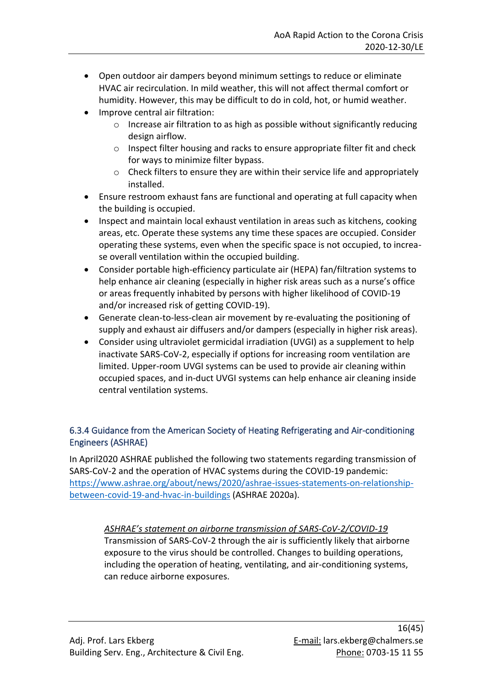- Open outdoor air dampers beyond minimum settings to reduce or eliminate HVAC air recirculation. In mild weather, this will not affect thermal comfort or humidity. However, this may be difficult to do in cold, hot, or humid weather.
- Improve central air filtration:
	- $\circ$  [Increase air filtration](https://www.ashrae.org/technical-resources/filtration-disinfection#mechanical) to as high as possible without significantly reducing design airflow.
	- $\circ$  Inspect filter housing and racks to ensure appropriate filter fit and check for ways to minimize filter bypass.
	- o Check filters to ensure they are within their service life and appropriately installed.
- Ensure restroom exhaust fans are functional and operating at full capacity when the building is occupied.
- Inspect and maintain local exhaust ventilation in areas such as kitchens, cooking areas, etc. Operate these systems any time these spaces are occupied. Consider operating these systems, even when the specific space is not occupied, to increase overall ventilation within the occupied building.
- Consider portable high-efficiency particulate air (HEPA) fan/filtration systems to help enhance air cleaning (especially in higher risk areas such as a nurse's office or areas frequently inhabited by persons with higher likelihood of COVID-19 and/or increased risk of getting COVID-19).
- Generate clean-to-less-clean air movement by re-evaluating the positioning of supply and exhaust air diffusers and/or dampers (especially in higher risk areas).
- Consider using ultraviolet germicidal irradiation (UVGI) as a supplement to help inactivate SARS-CoV-2, especially if options for increasing room ventilation are limited. [Upper-room UVGI systems](https://www.cdc.gov/niosh/docs/2009-105/pdfs/2009-105.pdf?id=10.26616/NIOSHPUB2009105) can be used to provide air cleaning within occupied spaces, and in-duct UVGI systems can help enhance air cleaning inside central ventilation systems.

## <span id="page-15-0"></span>6.3.4 Guidance from the American Society of Heating Refrigerating and Air-conditioning Engineers (ASHRAE)

In April2020 ASHRAE published the following two statements regarding transmission of SARS-CoV-2 and the operation of HVAC systems during the COVID-19 pandemic: [https://www.ashrae.org/about/news/2020/ashrae-issues-statements-on-relationship](https://www.ashrae.org/about/news/2020/ashrae-issues-statements-on-relationship-between-covid-19-and-hvac-in-buildings)[between-covid-19-and-hvac-in-buildings](https://www.ashrae.org/about/news/2020/ashrae-issues-statements-on-relationship-between-covid-19-and-hvac-in-buildings) (ASHRAE 2020a).

## *ASHRAE's statement on airborne transmission of SARS-CoV-2/COVID-19*

Transmission of SARS-CoV-2 through the air is sufficiently likely that airborne exposure to the virus should be controlled. Changes to building operations, including the operation of heating, ventilating, and air-conditioning systems, can reduce airborne exposures.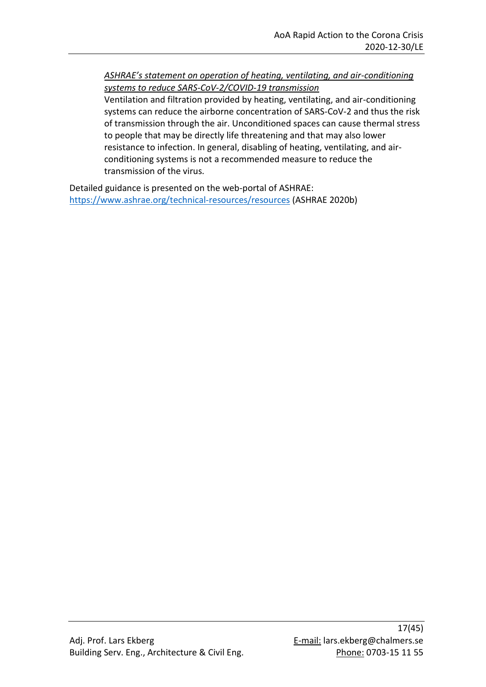*ASHRAE's statement on operation of heating, ventilating, and air-conditioning systems to reduce SARS-CoV-2/COVID-19 transmission*

Ventilation and filtration provided by heating, ventilating, and air-conditioning systems can reduce the airborne concentration of SARS-CoV-2 and thus the risk of transmission through the air. Unconditioned spaces can cause thermal stress to people that may be directly life threatening and that may also lower resistance to infection. In general, disabling of heating, ventilating, and airconditioning systems is not a recommended measure to reduce the transmission of the virus.

Detailed guidance is presented on the web-portal of ASHRAE: <https://www.ashrae.org/technical-resources/resources> (ASHRAE 2020b)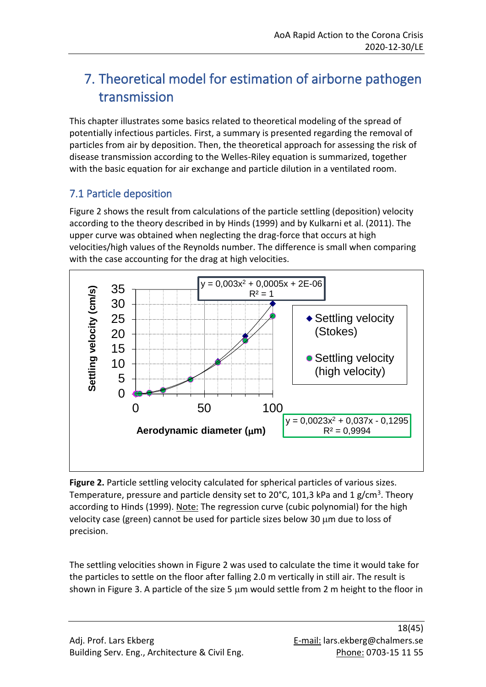## <span id="page-17-0"></span>7. Theoretical model for estimation of airborne pathogen transmission

This chapter illustrates some basics related to theoretical modeling of the spread of potentially infectious particles. First, a summary is presented regarding the removal of particles from air by deposition. Then, the theoretical approach for assessing the risk of disease transmission according to the Welles-Riley equation is summarized, together with the basic equation for air exchange and particle dilution in a ventilated room.

## <span id="page-17-1"></span>7.1 Particle deposition

Figure 2 shows the result from calculations of the particle settling (deposition) velocity according to the theory described in by Hinds (1999) and by Kulkarni et al. (2011). The upper curve was obtained when neglecting the drag-force that occurs at high velocities/high values of the Reynolds number. The difference is small when comparing with the case accounting for the drag at high velocities.



**Figure 2.** Particle settling velocity calculated for spherical particles of various sizes. Temperature, pressure and particle density set to 20°C, 101,3 kPa and 1 g/cm<sup>3</sup>. Theory according to Hinds (1999). Note: The regression curve (cubic polynomial) for the high velocity case (green) cannot be used for particle sizes below 30  $\mu$ m due to loss of precision.

The settling velocities shown in Figure 2 was used to calculate the time it would take for the particles to settle on the floor after falling 2.0 m vertically in still air. The result is shown in Figure 3. A particle of the size 5  $\mu$ m would settle from 2 m height to the floor in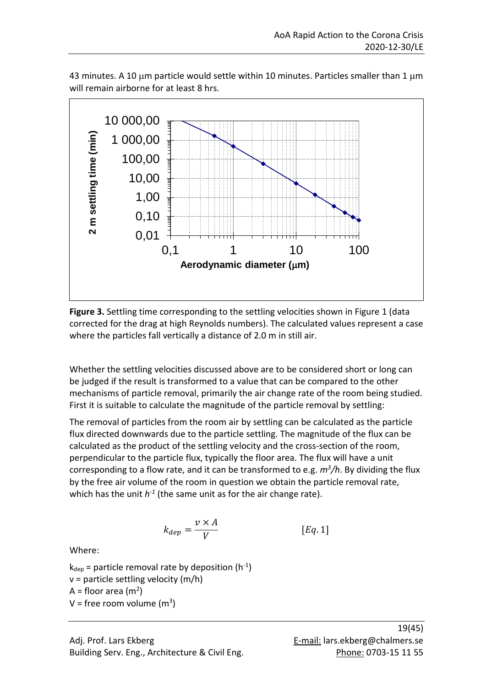

43 minutes. A 10  $\mu$ m particle would settle within 10 minutes. Particles smaller than 1  $\mu$ m will remain airborne for at least 8 hrs.

Figure 3. Settling time corresponding to the settling velocities shown in Figure 1 (data corrected for the drag at high Reynolds numbers). The calculated values represent a case where the particles fall vertically a distance of 2.0 m in still air.

Whether the settling velocities discussed above are to be considered short or long can be judged if the result is transformed to a value that can be compared to the other mechanisms of particle removal, primarily the air change rate of the room being studied. First it is suitable to calculate the magnitude of the particle removal by settling:

The removal of particles from the room air by settling can be calculated as the particle flux directed downwards due to the particle settling. The magnitude of the flux can be calculated as the product of the settling velocity and the cross-section of the room, perpendicular to the particle flux, typically the floor area. The flux will have a unit corresponding to a flow rate, and it can be transformed to e.g. *m<sup>3</sup> /h*. By dividing the flux by the free air volume of the room in question we obtain the particle removal rate, which has the unit  $h^{-1}$  (the same unit as for the air change rate).

$$
k_{dep} = \frac{v \times A}{V} \qquad [Eq. 1]
$$

Where:

 $k_{dep}$  = particle removal rate by deposition (h<sup>-1</sup>)  $v =$  particle settling velocity (m/h)  $A =$  floor area (m<sup>2</sup>)  $V =$  free room volume (m<sup>3</sup>)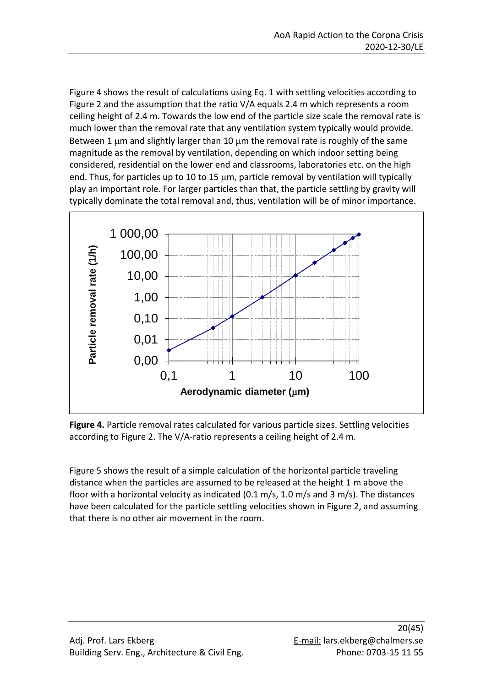Figure 4 shows the result of calculations using Eq. 1 with settling velocities according to Figure 2 and the assumption that the ratio V/A equals 2.4 m which represents a room ceiling height of 2.4 m. Towards the low end of the particle size scale the removal rate is much lower than the removal rate that any ventilation system typically would provide. Between 1  $\mu$ m and slightly larger than 10  $\mu$ m the removal rate is roughly of the same magnitude as the removal by ventilation, depending on which indoor setting being considered, residential on the lower end and classrooms, laboratories etc. on the high end. Thus, for particles up to 10 to 15  $\mu$ m, particle removal by ventilation will typically play an important role. For larger particles than that, the particle settling by gravity will typically dominate the total removal and, thus, ventilation will be of minor importance.



**Figure 4.** Particle removal rates calculated for various particle sizes. Settling velocities according to Figure 2. The V/A-ratio represents a ceiling height of 2.4 m.

Figure 5 shows the result of a simple calculation of the horizontal particle traveling distance when the particles are assumed to be released at the height 1 m above the floor with a horizontal velocity as indicated (0.1 m/s, 1.0 m/s and 3 m/s). The distances have been calculated for the particle settling velocities shown in Figure 2, and assuming that there is no other air movement in the room.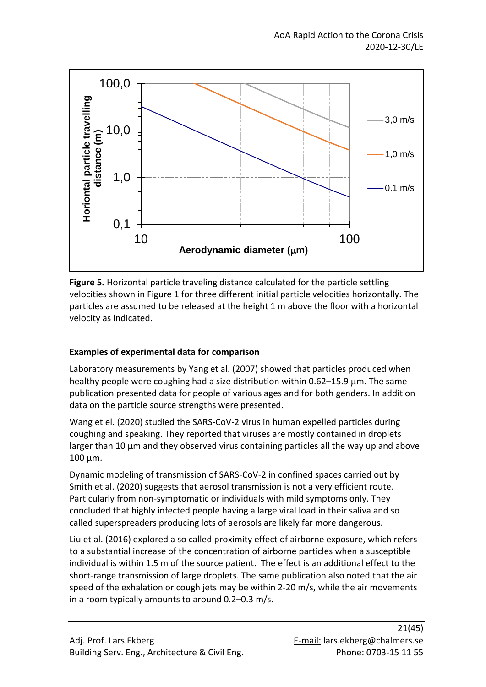

**Figure 5.** Horizontal particle traveling distance calculated for the particle settling velocities shown in Figure 1 for three different initial particle velocities horizontally. The particles are assumed to be released at the height 1 m above the floor with a horizontal velocity as indicated.

### **Examples of experimental data for comparison**

Laboratory measurements by Yang et al. (2007) showed that particles produced when healthy people were coughing had a size distribution within  $0.62-15.9 \mu m$ . The same publication presented data for people of various ages and for both genders. In addition data on the particle source strengths were presented.

Wang et el. (2020) studied the SARS-CoV-2 virus in human expelled particles during coughing and speaking. They reported that viruses are mostly contained in droplets larger than 10 μm and they observed virus containing particles all the way up and above 100 μm.

Dynamic modeling of transmission of SARS-CoV-2 in confined spaces carried out by Smith et al. (2020) suggests that aerosol transmission is not a very efficient route. Particularly from non-symptomatic or individuals with mild symptoms only. They concluded that highly infected people having a large viral load in their saliva and so called superspreaders producing lots of aerosols are likely far more dangerous.

Liu et al. (2016) explored a so called proximity effect of airborne exposure, which refers to a substantial increase of the concentration of airborne particles when a susceptible individual is within 1.5 m of the source patient. The effect is an additional effect to the short-range transmission of large droplets. The same publication also noted that the air speed of the exhalation or cough jets may be within 2-20 m/s, while the air movements in a room typically amounts to around 0.2–0.3 m/s.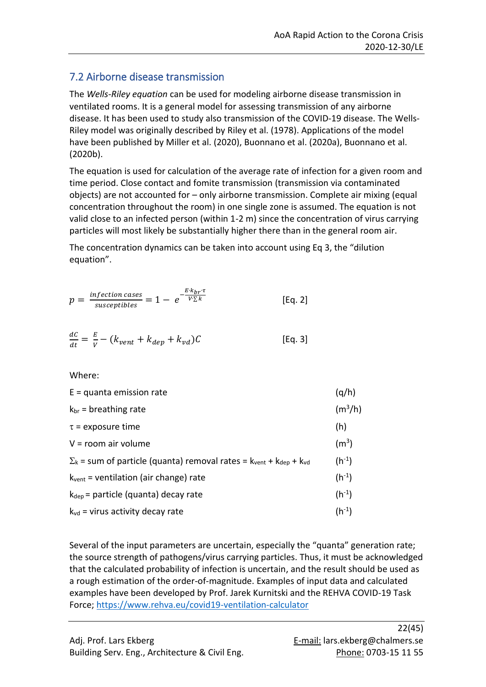## <span id="page-21-0"></span>7.2 Airborne disease transmission

The *Wells-Riley equation* can be used for modeling airborne disease transmission in ventilated rooms. It is a general model for assessing transmission of any airborne disease. It has been used to study also transmission of the COVID-19 disease. The Wells-Riley model was originally described by Riley et al. (1978). Applications of the model have been published by Miller et al. (2020), Buonnano et al. (2020a), Buonnano et al. (2020b).

The equation is used for calculation of the average rate of infection for a given room and time period. Close contact and fomite transmission (transmission via contaminated objects) are not accounted for – only airborne transmission. Complete air mixing (equal concentration throughout the room) in one single zone is assumed. The equation is not valid close to an infected person (within 1-2 m) since the concentration of virus carrying particles will most likely be substantially higher there than in the general room air.

The concentration dynamics can be taken into account using Eq 3, the "dilution equation".

$$
p = \frac{\text{infection cases}}{\text{susceptibles}} = 1 - e^{-\frac{E \cdot k_{br} \cdot \tau}{V \cdot \Sigma k}}
$$
 [Eq. 2]

$$
\frac{dC}{dt} = \frac{E}{v} - (k_{vent} + k_{dep} + k_{vd})C
$$
 [Eq. 3]

Where:

| $E =$ quanta emission rate                                                                                   | (q/h)             |
|--------------------------------------------------------------------------------------------------------------|-------------------|
| $k_{\text{br}}$ = breathing rate                                                                             | $(m^3/h)$         |
| $\tau$ = exposure time                                                                                       | (h)               |
| $V =$ room air volume                                                                                        | (m <sup>3</sup> ) |
| $\Sigma_k$ = sum of particle (quanta) removal rates = $k_{\text{vent}}$ + $k_{\text{dep}}$ + $k_{\text{vd}}$ | $(h^{-1})$        |
| $k_{vent}$ = ventilation (air change) rate                                                                   | $(h^{-1})$        |
| $k_{\text{dep}}$ = particle (quanta) decay rate                                                              | $(h^{-1})$        |
| $k_{vd}$ = virus activity decay rate                                                                         | $(h^{-1})$        |

Several of the input parameters are uncertain, especially the "quanta" generation rate; the source strength of pathogens/virus carrying particles. Thus, it must be acknowledged that the calculated probability of infection is uncertain, and the result should be used as a rough estimation of the order-of-magnitude. Examples of input data and calculated examples have been developed by Prof. Jarek Kurnitski and the REHVA COVID-19 Task Force;<https://www.rehva.eu/covid19-ventilation-calculator>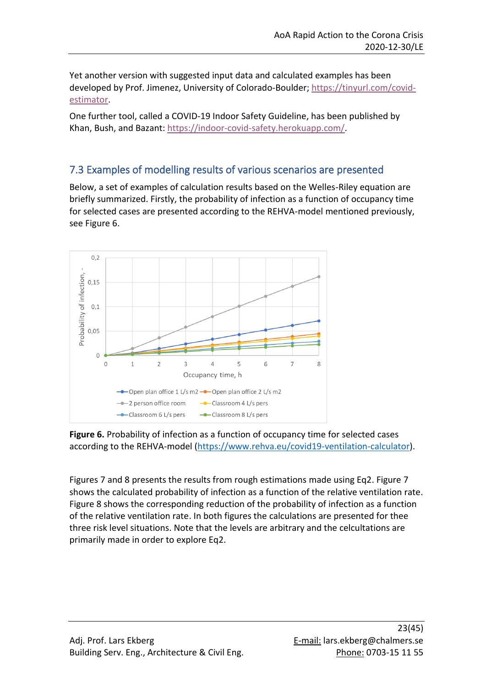Yet another version with suggested input data and calculated examples has been developed by Prof. Jimenez, University of Colorado-Boulder; [https://tinyurl.com/covid](https://tinyurl.com/covid-estimator)[estimator.](https://tinyurl.com/covid-estimator)

One further tool, called a COVID-19 Indoor Safety Guideline, has been published by Khan, Bush, and Bazant: [https://indoor-covid-safety.herokuapp.com/.](https://indoor-covid-safety.herokuapp.com/)

## <span id="page-22-0"></span>7.3 Examples of modelling results of various scenarios are presented

Below, a set of examples of calculation results based on the Welles-Riley equation are briefly summarized. Firstly, the probability of infection as a function of occupancy time for selected cases are presented according to the REHVA-model mentioned previously, see Figure 6.



**Figure 6.** Probability of infection as a function of occupancy time for selected cases according to the REHVA-model [\(https://www.rehva.eu/covid19-ventilation-calculator\)](https://www.rehva.eu/covid19-ventilation-calculator).

Figures 7 and 8 presents the results from rough estimations made using Eq2. Figure 7 shows the calculated probability of infection as a function of the relative ventilation rate. Figure 8 shows the corresponding reduction of the probability of infection as a function of the relative ventilation rate. In both figures the calculations are presented for thee three risk level situations. Note that the levels are arbitrary and the celcultations are primarily made in order to explore Eq2.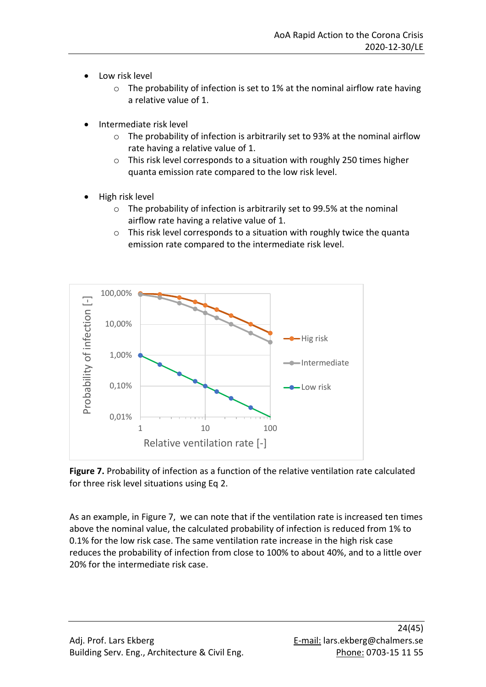- Low risk level
	- o The probability of infection is set to 1% at the nominal airflow rate having a relative value of 1.
- Intermediate risk level
	- $\circ$  The probability of infection is arbitrarily set to 93% at the nominal airflow rate having a relative value of 1.
	- o This risk level corresponds to a situation with roughly 250 times higher quanta emission rate compared to the low risk level.
- High risk level
	- o The probability of infection is arbitrarily set to 99.5% at the nominal airflow rate having a relative value of 1.
	- o This risk level corresponds to a situation with roughly twice the quanta emission rate compared to the intermediate risk level.





As an example, in Figure 7, we can note that if the ventilation rate is increased ten times above the nominal value, the calculated probability of infection is reduced from 1% to 0.1% for the low risk case. The same ventilation rate increase in the high risk case reduces the probability of infection from close to 100% to about 40%, and to a little over 20% for the intermediate risk case.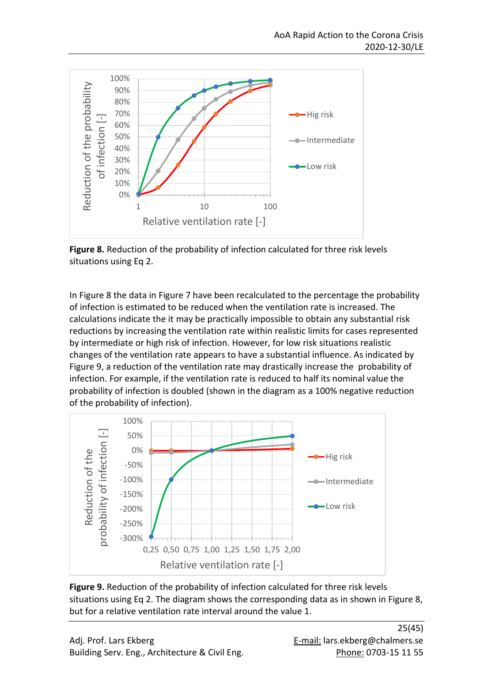

**Figure 8.** Reduction of the probability of infection calculated for three risk levels situations using Eq 2.

In Figure 8 the data in Figure 7 have been recalculated to the percentage the probability of infection is estimated to be reduced when the ventilation rate is increased. The calculations indicate the it may be practically impossible to obtain any substantial risk reductions by increasing the ventilation rate within realistic limits for cases represented by intermediate or high risk of infection. However, for low risk situations realistic changes of the ventilation rate appears to have a substantial influence. As indicated by Figure 9, a reduction of the ventilation rate may drastically increase the probability of infection. For example, if the ventilation rate is reduced to half its nominal value the probability of infection is doubled (shown in the diagram as a 100% negative reduction of the probability of infection).



**Figure 9.** Reduction of the probability of infection calculated for three risk levels situations using Eq 2. The diagram shows the corresponding data as in shown in Figure 8, but for a relative ventilation rate interval around the value 1.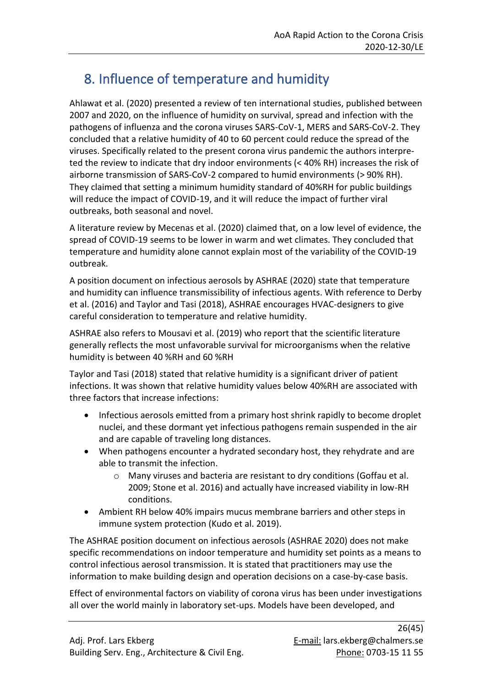## <span id="page-25-0"></span>8. Influence of temperature and humidity

Ahlawat et al. (2020) presented a review of ten international studies, published between 2007 and 2020, on the influence of humidity on survival, spread and infection with the pathogens of influenza and the corona viruses SARS-CoV-1, MERS and SARS-CoV-2. They concluded that a relative humidity of 40 to 60 percent could reduce the spread of the viruses. Specifically related to the present corona virus pandemic the authors interpreted the review to indicate that dry indoor environments (< 40% RH) increases the risk of airborne transmission of SARS-CoV-2 compared to humid environments (> 90% RH). They claimed that setting a minimum humidity standard of 40%RH for public buildings will reduce the impact of COVID-19, and it will reduce the impact of further viral outbreaks, both seasonal and novel.

A literature review by Mecenas et al. (2020) claimed that, on a low level of evidence, the spread of COVID-19 seems to be lower in warm and wet climates. They concluded that temperature and humidity alone cannot explain most of the variability of the COVID-19 outbreak.

A position document on infectious aerosols by ASHRAE (2020) state that temperature and humidity can influence transmissibility of infectious agents. With reference to Derby et al. (2016) and Taylor and Tasi (2018), ASHRAE encourages HVAC-designers to give careful consideration to temperature and relative humidity.

ASHRAE also refers to Mousavi et al. (2019) who report that the scientific literature generally reflects the most unfavorable survival for microorganisms when the relative humidity is between 40 %RH and 60 %RH

Taylor and Tasi (2018) stated that relative humidity is a significant driver of patient infections. It was shown that relative humidity values below 40%RH are associated with three factors that increase infections:

- Infectious aerosols emitted from a primary host shrink rapidly to become droplet nuclei, and these dormant yet infectious pathogens remain suspended in the air and are capable of traveling long distances.
- When pathogens encounter a hydrated secondary host, they rehydrate and are able to transmit the infection.
	- o Many viruses and bacteria are resistant to dry conditions (Goffau et al. 2009; Stone et al. 2016) and actually have increased viability in low-RH conditions.
- Ambient RH below 40% impairs mucus membrane barriers and other steps in immune system protection (Kudo et al. 2019).

The ASHRAE position document on infectious aerosols (ASHRAE 2020) does not make specific recommendations on indoor temperature and humidity set points as a means to control infectious aerosol transmission. It is stated that practitioners may use the information to make building design and operation decisions on a case-by-case basis.

Effect of environmental factors on viability of corona virus has been under investigations all over the world mainly in laboratory set-ups. Models have been developed, and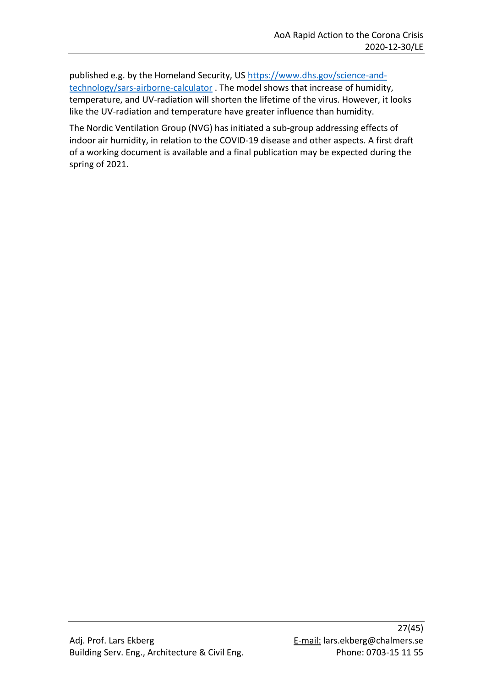published e.g. by the Homeland Security, US [https://www.dhs.gov/science-and](https://www.dhs.gov/science-and-technology/sars-airborne-calculator)[technology/sars-airborne-calculator](https://www.dhs.gov/science-and-technology/sars-airborne-calculator) . The model shows that increase of humidity, temperature, and UV-radiation will shorten the lifetime of the virus. However, it looks like the UV-radiation and temperature have greater influence than humidity.

The Nordic Ventilation Group (NVG) has initiated a sub-group addressing effects of indoor air humidity, in relation to the COVID-19 disease and other aspects. A first draft of a working document is available and a final publication may be expected during the spring of 2021.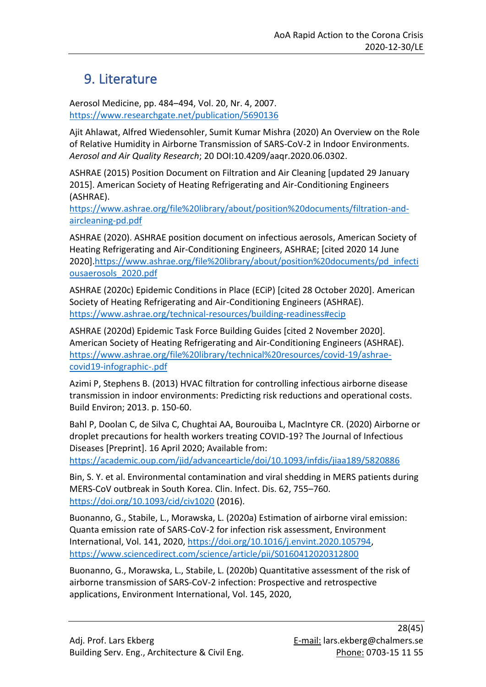## <span id="page-27-0"></span>9. Literature

Aerosol Medicine, pp. 484–494, Vol. 20, Nr. 4, 2007. <https://www.researchgate.net/publication/5690136>

Ajit Ahlawat, Alfred Wiedensohler, Sumit Kumar Mishra (2020) An Overview on the Role of Relative Humidity in Airborne Transmission of SARS-CoV-2 in Indoor Environments. *Aerosol and Air Quality Research*; 20 DOI:10.4209/aaqr.2020.06.0302.

ASHRAE (2015) Position Document on Filtration and Air Cleaning [updated 29 January 2015]. American Society of Heating Refrigerating and Air-Conditioning Engineers (ASHRAE).

[https://www.ashrae.org/file%20library/about/position%20documents/filtration-and](https://www.ashrae.org/file%20library/about/position%20documents/filtration-and-aircleaning-pd.pdf)[aircleaning-pd.pdf](https://www.ashrae.org/file%20library/about/position%20documents/filtration-and-aircleaning-pd.pdf)

ASHRAE (2020). ASHRAE position document on infectious aerosols, American Society of Heating Refrigerating and Air-Conditioning Engineers, ASHRAE; [cited 2020 14 June 2020][.https://www.ashrae.org/file%20library/about/position%20documents/pd\\_infecti](https://www.ashrae.org/file%20library/about/position%20documents/pd_infectiousaerosols_2020.pdf) [ousaerosols\\_2020.pdf](https://www.ashrae.org/file%20library/about/position%20documents/pd_infectiousaerosols_2020.pdf)

ASHRAE (2020c) Epidemic Conditions in Place (ECiP) [cited 28 October 2020]. American Society of Heating Refrigerating and Air-Conditioning Engineers (ASHRAE). <https://www.ashrae.org/technical-resources/building-readiness#ecip>

ASHRAE (2020d) Epidemic Task Force Building Guides [cited 2 November 2020]. American Society of Heating Refrigerating and Air-Conditioning Engineers (ASHRAE). [https://www.ashrae.org/file%20library/technical%20resources/covid-19/ashrae](https://www.ashrae.org/file%20library/technical%20resources/covid-19/ashrae-covid19-infographic-.pdf)[covid19-infographic-.pdf](https://www.ashrae.org/file%20library/technical%20resources/covid-19/ashrae-covid19-infographic-.pdf)

Azimi P, Stephens B. (2013) HVAC filtration for controlling infectious airborne disease transmission in indoor environments: Predicting risk reductions and operational costs. Build Environ; 2013. p. 150-60.

Bahl P, Doolan C, de Silva C, Chughtai AA, Bourouiba L, MacIntyre CR. (2020) Airborne or droplet precautions for health workers treating COVID-19? The Journal of Infectious Diseases [Preprint]. 16 April 2020; Available from:

<https://academic.oup.com/jid/advancearticle/doi/10.1093/infdis/jiaa189/5820886>

Bin, S. Y. et al. Environmental contamination and viral shedding in MERS patients during MERS-CoV outbreak in South Korea. Clin. Infect. Dis. 62, 755–760. <https://doi.org/10.1093/cid/civ1020> (2016).

Buonanno, G., Stabile, L., Morawska, L. (2020a) Estimation of airborne viral emission: Quanta emission rate of SARS-CoV-2 for infection risk assessment, Environment International, Vol. 141, 2020, [https://doi.org/10.1016/j.envint.2020.105794,](https://doi.org/10.1016/j.envint.2020.105794) <https://www.sciencedirect.com/science/article/pii/S0160412020312800>

Buonanno, G., Morawska, L., Stabile, L. (2020b) Quantitative assessment of the risk of airborne transmission of SARS-CoV-2 infection: Prospective and retrospective applications, Environment International, Vol. 145, 2020,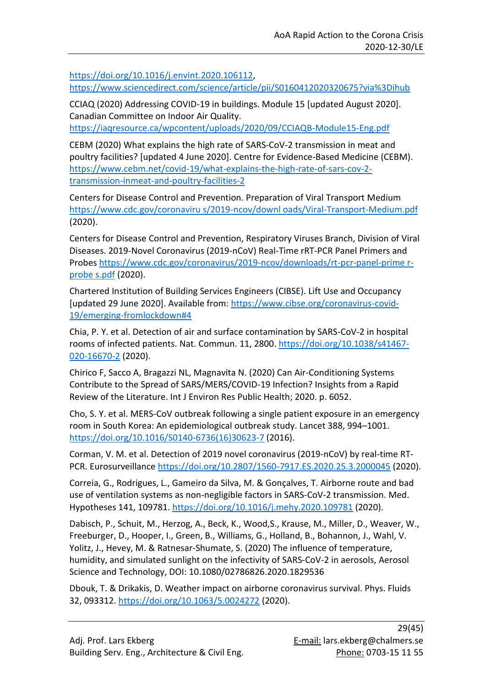[https://doi.org/10.1016/j.envint.2020.106112,](https://doi.org/10.1016/j.envint.2020.106112) <https://www.sciencedirect.com/science/article/pii/S0160412020320675?via%3Dihub>

CCIAQ (2020) Addressing COVID-19 in buildings. Module 15 [updated August 2020]. Canadian Committee on Indoor Air Quality.

<https://iaqresource.ca/wpcontent/uploads/2020/09/CCIAQB-Module15-Eng.pdf>

CEBM (2020) What explains the high rate of SARS-CoV-2 transmission in meat and poultry facilities? [updated 4 June 2020]. Centre for Evidence-Based Medicine (CEBM). [https://www.cebm.net/covid-19/what-explains-the-high-rate-of-sars-cov-2](https://www.cebm.net/covid-19/what-explains-the-high-rate-of-sars-cov-2-transmission-inmeat-and-poultry-facilities-2) [transmission-inmeat-and-poultry-facilities-2](https://www.cebm.net/covid-19/what-explains-the-high-rate-of-sars-cov-2-transmission-inmeat-and-poultry-facilities-2)

Centers for Disease Control and Prevention. Preparation of Viral Transport Medium [https://www.cdc.gov/coronaviru s/2019-ncov/downl oads/Viral-Transport-Medium.pdf](https://www.cdc.gov/coronaviru%20s/2019-ncov/downl%20oads/Viral-Transport-Medium.pdf) (2020).

Centers for Disease Control and Prevention, Respiratory Viruses Branch, Division of Viral Diseases. 2019-Novel Coronavirus (2019-nCoV) Real-Time rRT-PCR Panel Primers and Probes [https://www.cdc.gov/coronavirus/2019-ncov/downloads/rt-pcr-panel-prime r](https://www.cdc.gov/coronavirus/2019-ncov/downloads/rt-pcr-panel-prime%20r-probe%20s.pdf)[probe](https://www.cdc.gov/coronavirus/2019-ncov/downloads/rt-pcr-panel-prime%20r-probe%20s.pdf) s.pdf (2020).

Chartered Institution of Building Services Engineers (CIBSE). Lift Use and Occupancy [updated 29 June 2020]. Available from: [https://www.cibse.org/coronavirus-covid-](https://www.cibse.org/coronavirus-covid-19/emerging-fromlockdown#4)[19/emerging-fromlockdown#4](https://www.cibse.org/coronavirus-covid-19/emerging-fromlockdown#4)

Chia, P. Y. et al. Detection of air and surface contamination by SARS-CoV-2 in hospital rooms of infected patients. Nat. Commun. 11, 2800. [https://doi.org/10.1038/s41467-](https://doi.org/10.1038/s41467-020-16670-2) [020-16670-2](https://doi.org/10.1038/s41467-020-16670-2) (2020).

Chirico F, Sacco A, Bragazzi NL, Magnavita N. (2020) Can Air-Conditioning Systems Contribute to the Spread of SARS/MERS/COVID-19 Infection? Insights from a Rapid Review of the Literature. Int J Environ Res Public Health; 2020. p. 6052.

Cho, S. Y. et al. MERS-CoV outbreak following a single patient exposure in an emergency room in South Korea: An epidemiological outbreak study. Lancet 388, 994–1001. [https://doi.org/10.1016/S0140-6736\(16\)30623-7](https://doi.org/10.1016/S0140-6736(16)30623-7) (2016).

Corman, V. M. et al. Detection of 2019 novel coronavirus (2019-nCoV) by real-time RT-PCR. Eurosurveillance<https://doi.org/10.2807/1560-7917.ES.2020.25.3.2000045> (2020).

Correia, G., Rodrigues, L., Gameiro da Silva, M. & Gonçalves, T. Airborne route and bad use of ventilation systems as non-negligible factors in SARS-CoV-2 transmission. Med. Hypotheses 141, 109781.<https://doi.org/10.1016/j.mehy.2020.109781> (2020).

Dabisch, P., Schuit, M., Herzog, A., Beck, K., Wood,S., Krause, M., Miller, D., Weaver, W., Freeburger, D., Hooper, I., Green, B., Williams, G., Holland, B., Bohannon, J., Wahl, V. Yolitz, J., Hevey, M. & Ratnesar-Shumate, S. (2020) The influence of temperature, humidity, and simulated sunlight on the infectivity of SARS-CoV-2 in aerosols, Aerosol Science and Technology, DOI: 10.1080/02786826.2020.1829536

Dbouk, T. & Drikakis, D. Weather impact on airborne coronavirus survival. Phys. Fluids 32, 093312.<https://doi.org/10.1063/5.0024272> (2020).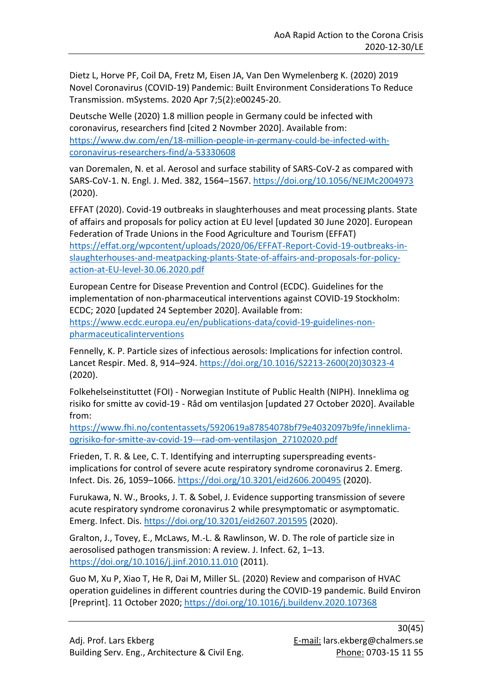Dietz L, Horve PF, Coil DA, Fretz M, Eisen JA, Van Den Wymelenberg K. (2020) 2019 Novel Coronavirus (COVID-19) Pandemic: Built Environment Considerations To Reduce Transmission. mSystems. 2020 Apr 7;5(2):e00245-20.

Deutsche Welle (2020) 1.8 million people in Germany could be infected with coronavirus, researchers find [cited 2 Novmber 2020]. Available from: [https://www.dw.com/en/18-million-people-in-germany-could-be-infected-with](https://www.dw.com/en/18-million-people-in-germany-could-be-infected-with-coronavirus-researchers-find/a-53330608)[coronavirus-researchers-find/a-53330608](https://www.dw.com/en/18-million-people-in-germany-could-be-infected-with-coronavirus-researchers-find/a-53330608)

van Doremalen, N. et al. Aerosol and surface stability of SARS-CoV-2 as compared with SARS-CoV-1. N. Engl. J. Med. 382, 1564–1567.<https://doi.org/10.1056/NEJMc2004973> (2020).

EFFAT (2020). Covid-19 outbreaks in slaughterhouses and meat processing plants. State of affairs and proposals for policy action at EU level [updated 30 June 2020]. European Federation of Trade Unions in the Food Agriculture and Tourism (EFFAT) [https://effat.org/wpcontent/uploads/2020/06/EFFAT-Report-Covid-19-outbreaks-in](https://effat.org/wpcontent/uploads/2020/06/EFFAT-Report-Covid-19-outbreaks-in-slaughterhouses-and-meatpacking-plants-State-of-affairs-and-proposals-for-policy-action-at-EU-level-30.06.2020.pdf)[slaughterhouses-and-meatpacking-plants-State-of-affairs-and-proposals-for-policy](https://effat.org/wpcontent/uploads/2020/06/EFFAT-Report-Covid-19-outbreaks-in-slaughterhouses-and-meatpacking-plants-State-of-affairs-and-proposals-for-policy-action-at-EU-level-30.06.2020.pdf)[action-at-EU-level-30.06.2020.pdf](https://effat.org/wpcontent/uploads/2020/06/EFFAT-Report-Covid-19-outbreaks-in-slaughterhouses-and-meatpacking-plants-State-of-affairs-and-proposals-for-policy-action-at-EU-level-30.06.2020.pdf)

European Centre for Disease Prevention and Control (ECDC). Guidelines for the implementation of non-pharmaceutical interventions against COVID-19 Stockholm: ECDC; 2020 [updated 24 September 2020]. Available from:

[https://www.ecdc.europa.eu/en/publications-data/covid-19-guidelines-non](https://www.ecdc.europa.eu/en/publications-data/covid-19-guidelines-non-pharmaceuticalinterventions)[pharmaceuticalinterventions](https://www.ecdc.europa.eu/en/publications-data/covid-19-guidelines-non-pharmaceuticalinterventions)

Fennelly, K. P. Particle sizes of infectious aerosols: Implications for infection control. Lancet Respir. Med. 8, 914–924. [https://doi.org/10.1016/S2213-2600\(20\)30323-4](https://doi.org/10.1016/S2213-2600(20)30323-4) (2020).

Folkehelseinstituttet (FOI) - Norwegian Institute of Public Health (NIPH). Inneklima og risiko for smitte av covid-19 - Råd om ventilasjon [updated 27 October 2020]. Available from:

[https://www.fhi.no/contentassets/5920619a87854078bf79e4032097b9fe/inneklima](https://www.fhi.no/contentassets/5920619a87854078bf79e4032097b9fe/inneklima-ogrisiko-for-smitte-av-covid-19---rad-om-ventilasjon_27102020.pdf)[ogrisiko-for-smitte-av-covid-19---rad-om-ventilasjon\\_27102020.pdf](https://www.fhi.no/contentassets/5920619a87854078bf79e4032097b9fe/inneklima-ogrisiko-for-smitte-av-covid-19---rad-om-ventilasjon_27102020.pdf)

Frieden, T. R. & Lee, C. T. Identifying and interrupting superspreading eventsimplications for control of severe acute respiratory syndrome coronavirus 2. Emerg. Infect. Dis. 26, 1059–1066[. https://doi.org/10.3201/eid2606.200495](https://doi.org/10.3201/eid2606.200495) (2020).

Furukawa, N. W., Brooks, J. T. & Sobel, J. Evidence supporting transmission of severe acute respiratory syndrome coronavirus 2 while presymptomatic or asymptomatic. Emerg. Infect. Dis.<https://doi.org/10.3201/eid2607.201595> (2020).

Gralton, J., Tovey, E., McLaws, M.-L. & Rawlinson, W. D. The role of particle size in aerosolised pathogen transmission: A review. J. Infect. 62, 1–13. <https://doi.org/10.1016/j.jinf.2010.11.010> (2011).

Guo M, Xu P, Xiao T, He R, Dai M, Miller SL. (2020) Review and comparison of HVAC operation guidelines in different countries during the COVID-19 pandemic. Build Environ [Preprint]. 11 October 2020[; https://doi.org/10.1016/j.buildenv.2020.107368](https://doi.org/10.1016/j.buildenv.2020.107368)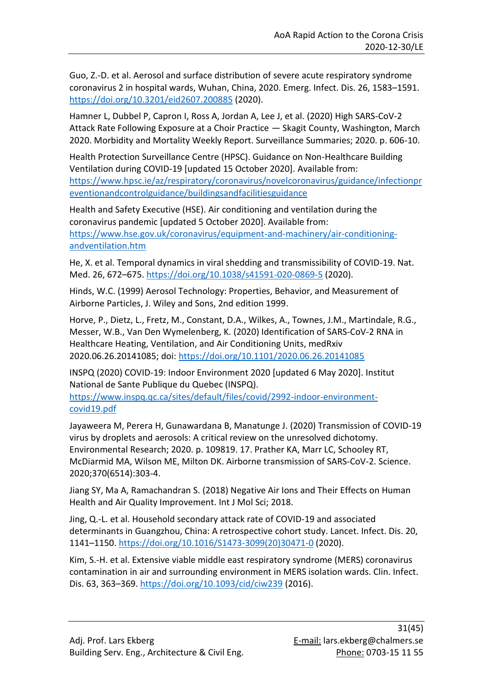Guo, Z.-D. et al. Aerosol and surface distribution of severe acute respiratory syndrome coronavirus 2 in hospital wards, Wuhan, China, 2020. Emerg. Infect. Dis. 26, 1583–1591. <https://doi.org/10.3201/eid2607.200885> (2020).

Hamner L, Dubbel P, Capron I, Ross A, Jordan A, Lee J, et al. (2020) High SARS-CoV-2 Attack Rate Following Exposure at a Choir Practice — Skagit County, Washington, March 2020. Morbidity and Mortality Weekly Report. Surveillance Summaries; 2020. p. 606-10.

Health Protection Surveillance Centre (HPSC). Guidance on Non-Healthcare Building Ventilation during COVID-19 [updated 15 October 2020]. Available from: [https://www.hpsc.ie/az/respiratory/coronavirus/novelcoronavirus/guidance/infectionpr](https://www.hpsc.ie/az/respiratory/coronavirus/novelcoronavirus/guidance/infectionpreventionandcontrolguidance/buildingsandfacilitiesguidance) [eventionandcontrolguidance/buildingsandfacilitiesguidance](https://www.hpsc.ie/az/respiratory/coronavirus/novelcoronavirus/guidance/infectionpreventionandcontrolguidance/buildingsandfacilitiesguidance)

Health and Safety Executive (HSE). Air conditioning and ventilation during the coronavirus pandemic [updated 5 October 2020]. Available from: [https://www.hse.gov.uk/coronavirus/equipment-and-machinery/air-conditioning](https://www.hse.gov.uk/coronavirus/equipment-and-machinery/air-conditioning-andventilation.htm)[andventilation.htm](https://www.hse.gov.uk/coronavirus/equipment-and-machinery/air-conditioning-andventilation.htm)

He, X. et al. Temporal dynamics in viral shedding and transmissibility of COVID-19. Nat. Med. 26, 672–675.<https://doi.org/10.1038/s41591-020-0869-5> (2020).

Hinds, W.C. (1999) Aerosol Technology: Properties, Behavior, and Measurement of Airborne Particles, J. Wiley and Sons, 2nd edition 1999.

Horve, P., Dietz, L., Fretz, M., Constant, D.A., Wilkes, A., Townes, J.M., Martindale, R.G., Messer, W.B., Van Den Wymelenberg, K. (2020) Identification of SARS-CoV-2 RNA in Healthcare Heating, Ventilation, and Air Conditioning Units, medRxiv 2020.06.26.20141085; doi:<https://doi.org/10.1101/2020.06.26.20141085>

INSPQ (2020) COVID-19: Indoor Environment 2020 [updated 6 May 2020]. Institut National de Sante Publique du Quebec (INSPQ). [https://www.inspq.qc.ca/sites/default/files/covid/2992-indoor-environment](https://www.inspq.qc.ca/sites/default/files/covid/2992-indoor-environment-covid19.pdf)[covid19.pdf](https://www.inspq.qc.ca/sites/default/files/covid/2992-indoor-environment-covid19.pdf)

Jayaweera M, Perera H, Gunawardana B, Manatunge J. (2020) Transmission of COVID-19 virus by droplets and aerosols: A critical review on the unresolved dichotomy. Environmental Research; 2020. p. 109819. 17. Prather KA, Marr LC, Schooley RT, McDiarmid MA, Wilson ME, Milton DK. Airborne transmission of SARS-CoV-2. Science. 2020;370(6514):303-4.

Jiang SY, Ma A, Ramachandran S. (2018) Negative Air Ions and Their Effects on Human Health and Air Quality Improvement. Int J Mol Sci; 2018.

Jing, Q.-L. et al. Household secondary attack rate of COVID-19 and associated determinants in Guangzhou, China: A retrospective cohort study. Lancet. Infect. Dis. 20, 1141–1150. [https://doi.org/10.1016/S1473-3099\(20\)30471-0](https://doi.org/10.1016/S1473-3099(20)30471-0) (2020).

Kim, S.-H. et al. Extensive viable middle east respiratory syndrome (MERS) coronavirus contamination in air and surrounding environment in MERS isolation wards. Clin. Infect. Dis. 63, 363–369[. https://doi.org/10.1093/cid/ciw239](https://doi.org/10.1093/cid/ciw239) (2016).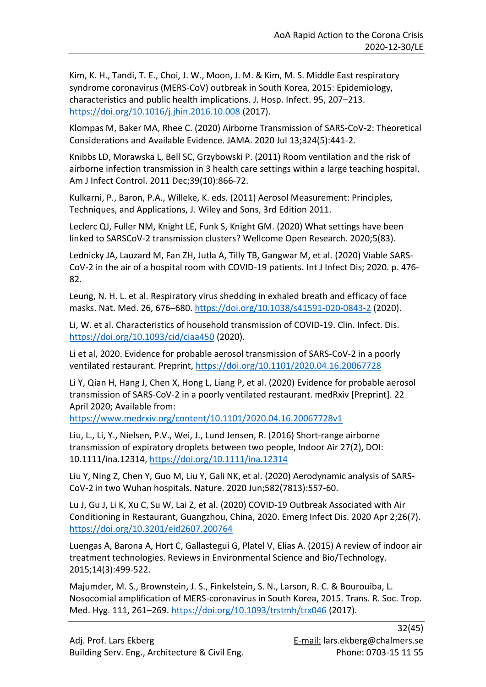Kim, K. H., Tandi, T. E., Choi, J. W., Moon, J. M. & Kim, M. S. Middle East respiratory syndrome coronavirus (MERS-CoV) outbreak in South Korea, 2015: Epidemiology, characteristics and public health implications. J. Hosp. Infect. 95, 207–213. <https://doi.org/10.1016/j.jhin.2016.10.008> (2017).

Klompas M, Baker MA, Rhee C. (2020) Airborne Transmission of SARS-CoV-2: Theoretical Considerations and Available Evidence. JAMA. 2020 Jul 13;324(5):441-2.

Knibbs LD, Morawska L, Bell SC, Grzybowski P. (2011) Room ventilation and the risk of airborne infection transmission in 3 health care settings within a large teaching hospital. Am J Infect Control. 2011 Dec;39(10):866-72.

Kulkarni, P., Baron, P.A., Willeke, K. eds. (2011) Aerosol Measurement: Principles, Techniques, and Applications, J. Wiley and Sons, 3rd Edition 2011.

Leclerc QJ, Fuller NM, Knight LE, Funk S, Knight GM. (2020) What settings have been linked to SARSCoV-2 transmission clusters? Wellcome Open Research. 2020;5(83).

Lednicky JA, Lauzard M, Fan ZH, Jutla A, Tilly TB, Gangwar M, et al. (2020) Viable SARS-CoV-2 in the air of a hospital room with COVID-19 patients. Int J Infect Dis; 2020. p. 476- 82.

Leung, N. H. L. et al. Respiratory virus shedding in exhaled breath and efficacy of face masks. Nat. Med. 26, 676–680[. https://doi.org/10.1038/s41591-020-0843-2](https://doi.org/10.1038/s41591-020-0843-2) (2020).

Li, W. et al. Characteristics of household transmission of COVID-19. Clin. Infect. Dis. <https://doi.org/10.1093/cid/ciaa450> (2020).

Li et al, 2020. Evidence for probable aerosol transmission of SARS-CoV-2 in a poorly ventilated restaurant. Preprint[, https://doi.org/10.1101/2020.04.16.20067728](https://doi.org/10.1101/2020.04.16.20067728)

Li Y, Qian H, Hang J, Chen X, Hong L, Liang P, et al. (2020) Evidence for probable aerosol transmission of SARS-CoV-2 in a poorly ventilated restaurant. medRxiv [Preprint]. 22 April 2020; Available from:

<https://www.medrxiv.org/content/10.1101/2020.04.16.20067728v1>

Liu, L., Li, Y., Nielsen, P.V., Wei, J., Lund Jensen, R. (2016) Short-range airborne transmission of expiratory droplets between two people, Indoor Air 27(2), DOI: 10.1111/ina.12314,<https://doi.org/10.1111/ina.12314>

Liu Y, Ning Z, Chen Y, Guo M, Liu Y, Gali NK, et al. (2020) Aerodynamic analysis of SARS-CoV-2 in two Wuhan hospitals. Nature. 2020 Jun;582(7813):557-60.

Lu J, Gu J, Li K, Xu C, Su W, Lai Z, et al. (2020) COVID-19 Outbreak Associated with Air Conditioning in Restaurant, Guangzhou, China, 2020. Emerg Infect Dis. 2020 Apr 2;26(7). <https://doi.org/10.3201/eid2607.200764>

Luengas A, Barona A, Hort C, Gallastegui G, Platel V, Elias A. (2015) A review of indoor air treatment technologies. Reviews in Environmental Science and Bio/Technology. 2015;14(3):499-522.

Majumder, M. S., Brownstein, J. S., Finkelstein, S. N., Larson, R. C. & Bourouiba, L. Nosocomial amplification of MERS-coronavirus in South Korea, 2015. Trans. R. Soc. Trop. Med. Hyg. 111, 261–269.<https://doi.org/10.1093/trstmh/trx046> (2017).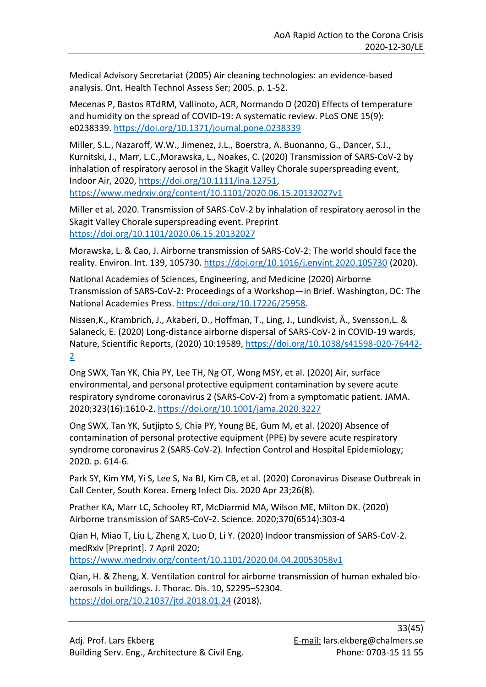Medical Advisory Secretariat (2005) Air cleaning technologies: an evidence-based analysis. Ont. Health Technol Assess Ser; 2005. p. 1-52.

Mecenas P, Bastos RTdRM, Vallinoto, ACR, Normando D (2020) Effects of temperature and humidity on the spread of COVID-19: A systematic review. PLoS ONE 15(9): e0238339. <https://doi.org/10.1371/journal.pone.0238339>

Miller, S.L., Nazaroff, W.W., Jimenez, J.L., Boerstra, A. Buonanno, G., Dancer, S.J., Kurnitski, J., Marr, L.C.,Morawska, L., Noakes, C. (2020) Transmission of SARS‐CoV‐2 by inhalation of respiratory aerosol in the Skagit Valley Chorale superspreading event, Indoor Air, 2020, [https://doi.org/10.1111/ina.12751,](https://doi.org/10.1111/ina.12751) <https://www.medrxiv.org/content/10.1101/2020.06.15.20132027v1>

Miller et al, 2020. Transmission of SARS-CoV-2 by inhalation of respiratory aerosol in the Skagit Valley Chorale superspreading event. Preprint <https://doi.org/10.1101/2020.06.15.20132027>

Morawska, L. & Cao, J. Airborne transmission of SARS-CoV-2: The world should face the reality. Environ. Int. 139, 105730.<https://doi.org/10.1016/j.envint.2020.105730> (2020).

National Academies of Sciences, Engineering, and Medicine (2020) Airborne Transmission of SARS-CoV-2: Proceedings of a Workshop—in Brief. Washington, DC: The National Academies Press. [https://doi.org/10.17226/25958.](https://doi.org/10.17226/25958)

Nissen,K., Krambrich, J., Akaberi, D., Hoffman, T., Ling, J., Lundkvist, Å., Svensson,L. & Salaneck, E. (2020) Long-distance airborne dispersal of SARS-CoV-2 in COVID-19 wards, Nature, Scientific Reports, (2020) 10:19589, [https://doi.org/10.1038/s41598-020-76442-](https://doi.org/10.1038/s41598-020-76442-2) [2](https://doi.org/10.1038/s41598-020-76442-2)

Ong SWX, Tan YK, Chia PY, Lee TH, Ng OT, Wong MSY, et al. (2020) Air, surface environmental, and personal protective equipment contamination by severe acute respiratory syndrome coronavirus 2 (SARS-CoV-2) from a symptomatic patient. JAMA. 2020;323(16):1610-2. <https://doi.org/10.1001/jama.2020.3227>

Ong SWX, Tan YK, Sutjipto S, Chia PY, Young BE, Gum M, et al. (2020) Absence of contamination of personal protective equipment (PPE) by severe acute respiratory syndrome coronavirus 2 (SARS-CoV-2). Infection Control and Hospital Epidemiology; 2020. p. 614-6.

Park SY, Kim YM, Yi S, Lee S, Na BJ, Kim CB, et al. (2020) Coronavirus Disease Outbreak in Call Center, South Korea. Emerg Infect Dis. 2020 Apr 23;26(8).

Prather KA, Marr LC, Schooley RT, McDiarmid MA, Wilson ME, Milton DK. (2020) Airborne transmission of SARS-CoV-2. Science. 2020;370(6514):303-4

Qian H, Miao T, Liu L, Zheng X, Luo D, Li Y. (2020) Indoor transmission of SARS-CoV-2. medRxiv [Preprint]. 7 April 2020; <https://www.medrxiv.org/content/10.1101/2020.04.04.20053058v1>

Qian, H. & Zheng, X. Ventilation control for airborne transmission of human exhaled bioaerosols in buildings. J. Thorac. Dis. 10, S2295–S2304. <https://doi.org/10.21037/jtd.2018.01.24> (2018).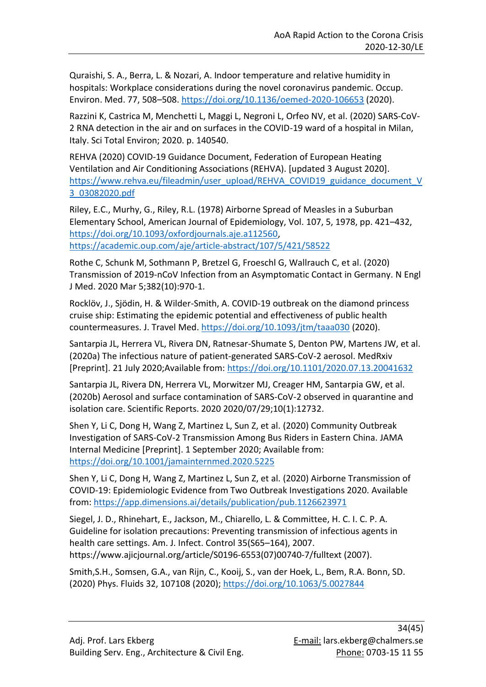Quraishi, S. A., Berra, L. & Nozari, A. Indoor temperature and relative humidity in hospitals: Workplace considerations during the novel coronavirus pandemic. Occup. Environ. Med. 77, 508–508.<https://doi.org/10.1136/oemed-2020-106653> (2020).

Razzini K, Castrica M, Menchetti L, Maggi L, Negroni L, Orfeo NV, et al. (2020) SARS-CoV-2 RNA detection in the air and on surfaces in the COVID-19 ward of a hospital in Milan, Italy. Sci Total Environ; 2020. p. 140540.

REHVA (2020) COVID-19 Guidance Document, Federation of European Heating Ventilation and Air Conditioning Associations (REHVA). [updated 3 August 2020]. [https://www.rehva.eu/fileadmin/user\\_upload/REHVA\\_COVID19\\_guidance\\_document\\_V](https://www.rehva.eu/fileadmin/user_upload/REHVA_COVID19_guidance_document_V3_03082020.pdf) [3\\_03082020.pdf](https://www.rehva.eu/fileadmin/user_upload/REHVA_COVID19_guidance_document_V3_03082020.pdf)

Riley, E.C., Murhy, G., Riley, R.L. (1978) Airborne Spread of Measles in a Suburban Elementary School, American Journal of Epidemiology, Vol. 107, 5, 1978, pp. 421–432, [https://doi.org/10.1093/oxfordjournals.aje.a112560,](https://doi.org/10.1093/oxfordjournals.aje.a112560) <https://academic.oup.com/aje/article-abstract/107/5/421/58522>

Rothe C, Schunk M, Sothmann P, Bretzel G, Froeschl G, Wallrauch C, et al. (2020) Transmission of 2019-nCoV Infection from an Asymptomatic Contact in Germany. N Engl J Med. 2020 Mar 5;382(10):970-1.

Rocklöv, J., Sjödin, H. & Wilder-Smith, A. COVID-19 outbreak on the diamond princess cruise ship: Estimating the epidemic potential and effectiveness of public health countermeasures. J. Travel Med.<https://doi.org/10.1093/jtm/taaa030> (2020).

Santarpia JL, Herrera VL, Rivera DN, Ratnesar-Shumate S, Denton PW, Martens JW, et al. (2020a) The infectious nature of patient-generated SARS-CoV-2 aerosol. MedRxiv [Preprint]. 21 July 2020;Available from:<https://doi.org/10.1101/2020.07.13.20041632>

Santarpia JL, Rivera DN, Herrera VL, Morwitzer MJ, Creager HM, Santarpia GW, et al. (2020b) Aerosol and surface contamination of SARS-CoV-2 observed in quarantine and isolation care. Scientific Reports. 2020 2020/07/29;10(1):12732.

Shen Y, Li C, Dong H, Wang Z, Martinez L, Sun Z, et al. (2020) Community Outbreak Investigation of SARS-CoV-2 Transmission Among Bus Riders in Eastern China. JAMA Internal Medicine [Preprint]. 1 September 2020; Available from: <https://doi.org/10.1001/jamainternmed.2020.5225>

Shen Y, Li C, Dong H, Wang Z, Martinez L, Sun Z, et al. (2020) Airborne Transmission of COVID-19: Epidemiologic Evidence from Two Outbreak Investigations 2020. Available from: <https://app.dimensions.ai/details/publication/pub.1126623971>

Siegel, J. D., Rhinehart, E., Jackson, M., Chiarello, L. & Committee, H. C. I. C. P. A. Guideline for isolation precautions: Preventing transmission of infectious agents in health care settings. Am. J. Infect. Control 35(S65–164), 2007. https://www.ajicjournal.org/article/S0196-6553(07)00740-7/fulltext (2007).

Smith,S.H., Somsen, G.A., van Rijn, C., Kooij, S., van der Hoek, L., Bem, R.A. Bonn, SD. (2020) Phys. Fluids 32, 107108 (2020);<https://doi.org/10.1063/5.0027844>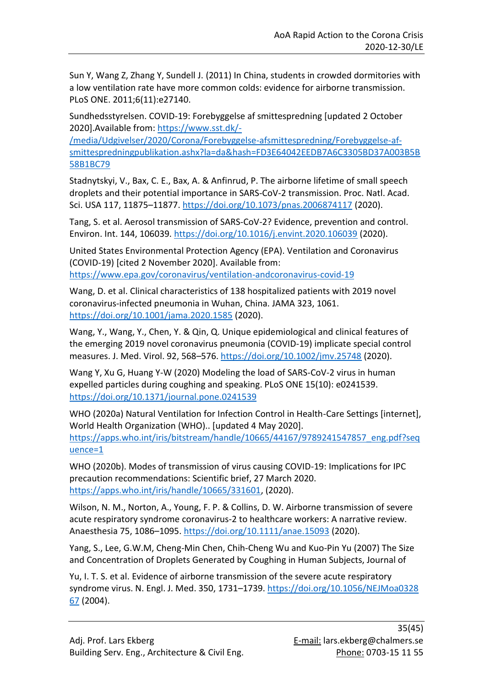Sun Y, Wang Z, Zhang Y, Sundell J. (2011) In China, students in crowded dormitories with a low ventilation rate have more common colds: evidence for airborne transmission. PLoS ONE. 2011;6(11):e27140.

Sundhedsstyrelsen. COVID-19: Forebyggelse af smittespredning [updated 2 October 2020].Available from: [https://www.sst.dk/-](https://www.sst.dk/-/media/Udgivelser/2020/Corona/Forebyggelse-afsmittespredning/Forebyggelse-af-smittespredningpublikation.ashx?la=da&hash=FD3E64042EEDB7A6C3305BD37A003B5B58B1BC79)

[/media/Udgivelser/2020/Corona/Forebyggelse-afsmittespredning/Forebyggelse-af](https://www.sst.dk/-/media/Udgivelser/2020/Corona/Forebyggelse-afsmittespredning/Forebyggelse-af-smittespredningpublikation.ashx?la=da&hash=FD3E64042EEDB7A6C3305BD37A003B5B58B1BC79)[smittespredningpublikation.ashx?la=da&hash=FD3E64042EEDB7A6C3305BD37A003B5B](https://www.sst.dk/-/media/Udgivelser/2020/Corona/Forebyggelse-afsmittespredning/Forebyggelse-af-smittespredningpublikation.ashx?la=da&hash=FD3E64042EEDB7A6C3305BD37A003B5B58B1BC79) [58B1BC79](https://www.sst.dk/-/media/Udgivelser/2020/Corona/Forebyggelse-afsmittespredning/Forebyggelse-af-smittespredningpublikation.ashx?la=da&hash=FD3E64042EEDB7A6C3305BD37A003B5B58B1BC79)

Stadnytskyi, V., Bax, C. E., Bax, A. & Anfinrud, P. The airborne lifetime of small speech droplets and their potential importance in SARS-CoV-2 transmission. Proc. Natl. Acad. Sci. USA 117, 11875–11877.<https://doi.org/10.1073/pnas.2006874117> (2020).

Tang, S. et al. Aerosol transmission of SARS-CoV-2? Evidence, prevention and control. Environ. Int. 144, 106039.<https://doi.org/10.1016/j.envint.2020.106039> (2020).

United States Environmental Protection Agency (EPA). Ventilation and Coronavirus (COVID-19) [cited 2 November 2020]. Available from: <https://www.epa.gov/coronavirus/ventilation-andcoronavirus-covid-19>

Wang, D. et al. Clinical characteristics of 138 hospitalized patients with 2019 novel coronavirus-infected pneumonia in Wuhan, China. JAMA 323, 1061. <https://doi.org/10.1001/jama.2020.1585> (2020).

Wang, Y., Wang, Y., Chen, Y. & Qin, Q. Unique epidemiological and clinical features of the emerging 2019 novel coronavirus pneumonia (COVID-19) implicate special control measures. J. Med. Virol. 92, 568–576.<https://doi.org/10.1002/jmv.25748> (2020).

Wang Y, Xu G, Huang Y-W (2020) Modeling the load of SARS-CoV-2 virus in human expelled particles during coughing and speaking. PLoS ONE 15(10): e0241539. <https://doi.org/10.1371/journal.pone.0241539>

WHO (2020a) Natural Ventilation for Infection Control in Health-Care Settings [internet], World Health Organization (WHO).. [updated 4 May 2020]. [https://apps.who.int/iris/bitstream/handle/10665/44167/9789241547857\\_eng.pdf?seq](https://apps.who.int/iris/bitstream/handle/10665/44167/9789241547857_eng.pdf?sequence=1) [uence=1](https://apps.who.int/iris/bitstream/handle/10665/44167/9789241547857_eng.pdf?sequence=1)

WHO (2020b). Modes of transmission of virus causing COVID-19: Implications for IPC precaution recommendations: Scientific brief, 27 March 2020. [https://apps.who.int/iris/handle/10665/331601,](https://apps.who.int/iris/handle/10665/331601) (2020).

Wilson, N. M., Norton, A., Young, F. P. & Collins, D. W. Airborne transmission of severe acute respiratory syndrome coronavirus-2 to healthcare workers: A narrative review. Anaesthesia 75, 1086–1095.<https://doi.org/10.1111/anae.15093> (2020).

Yang, S., Lee, G.W.M, Cheng-Min Chen, Chih-Cheng Wu and Kuo-Pin Yu (2007) The Size and Concentration of Droplets Generated by Coughing in Human Subjects, Journal of

Yu, I. T. S. et al. Evidence of airborne transmission of the severe acute respiratory syndrome virus. N. Engl. J. Med. 350, 1731–1739. [https://doi.org/10.1056/NEJMoa0328](https://doi.org/10.1056/NEJMoa0328%2067)  [67](https://doi.org/10.1056/NEJMoa0328%2067) (2004).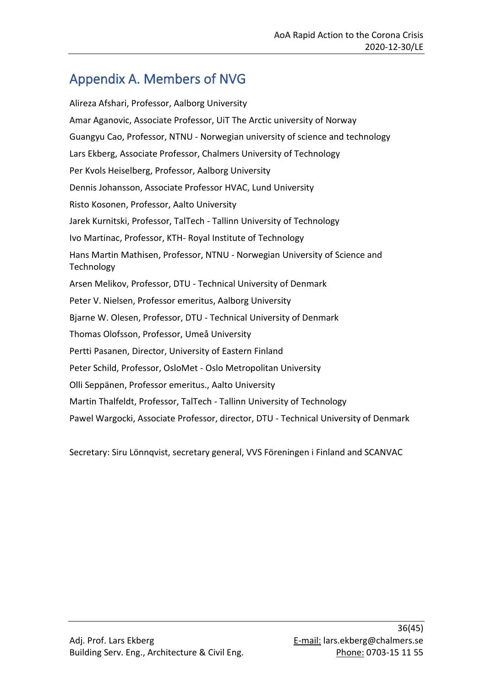## <span id="page-35-0"></span>Appendix A. Members of NVG

Alireza Afshari, Professor, Aalborg University Amar Aganovic, Associate Professor, UiT The Arctic university of Norway Guangyu Cao, Professor, NTNU - Norwegian university of science and technology Lars Ekberg, Associate Professor, Chalmers University of Technology Per Kvols Heiselberg, Professor, Aalborg University Dennis Johansson, Associate Professor HVAC, Lund University Risto Kosonen, Professor, Aalto University Jarek Kurnitski, Professor, TalTech - Tallinn University of Technology Ivo Martinac, Professor, KTH- Royal Institute of Technology Hans Martin Mathisen, Professor, NTNU - Norwegian University of Science and Technology Arsen Melikov, Professor, DTU - Technical University of Denmark Peter V. Nielsen, Professor emeritus, Aalborg University Bjarne W. Olesen, Professor, DTU - Technical University of Denmark Thomas Olofsson, Professor, Umeå University Pertti Pasanen, Director, University of Eastern Finland Peter Schild, Professor, OsloMet - Oslo Metropolitan University Olli Seppänen, Professor emeritus., Aalto University Martin Thalfeldt, Professor, TalTech - Tallinn University of Technology Pawel Wargocki, Associate Professor, director, DTU - Technical University of Denmark

Secretary: Siru Lönnqvist, secretary general, VVS Föreningen i Finland and SCANVAC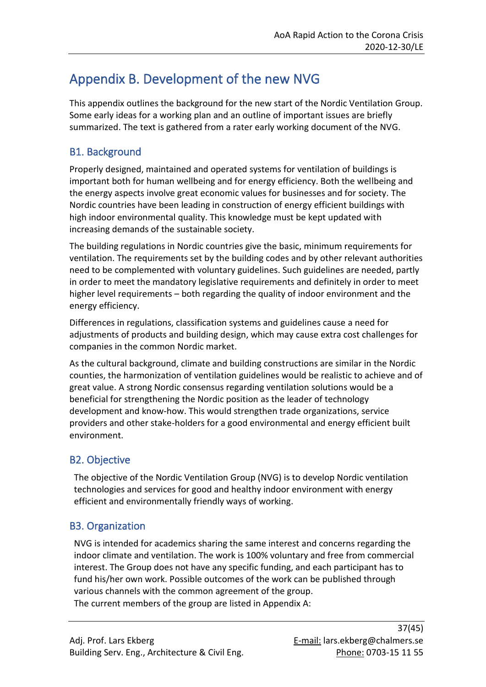## <span id="page-36-0"></span>Appendix B. Development of the new NVG

This appendix outlines the background for the new start of the Nordic Ventilation Group. Some early ideas for a working plan and an outline of important issues are briefly summarized. The text is gathered from a rater early working document of the NVG.

## <span id="page-36-1"></span>B1. Background

Properly designed, maintained and operated systems for ventilation of buildings is important both for human wellbeing and for energy efficiency. Both the wellbeing and the energy aspects involve great economic values for businesses and for society. The Nordic countries have been leading in construction of energy efficient buildings with high indoor environmental quality. This knowledge must be kept updated with increasing demands of the sustainable society.

The building regulations in Nordic countries give the basic, minimum requirements for ventilation. The requirements set by the building codes and by other relevant authorities need to be complemented with voluntary guidelines. Such guidelines are needed, partly in order to meet the mandatory legislative requirements and definitely in order to meet higher level requirements – both regarding the quality of indoor environment and the energy efficiency.

Differences in regulations, classification systems and guidelines cause a need for adjustments of products and building design, which may cause extra cost challenges for companies in the common Nordic market.

As the cultural background, climate and building constructions are similar in the Nordic counties, the harmonization of ventilation guidelines would be realistic to achieve and of great value. A strong Nordic consensus regarding ventilation solutions would be a beneficial for strengthening the Nordic position as the leader of technology development and know-how. This would strengthen trade organizations, service providers and other stake-holders for a good environmental and energy efficient built environment.

## <span id="page-36-2"></span>B2. Objective

The objective of the Nordic Ventilation Group (NVG) is to develop Nordic ventilation technologies and services for good and healthy indoor environment with energy efficient and environmentally friendly ways of working.

## <span id="page-36-3"></span>B3. Organization

NVG is intended for academics sharing the same interest and concerns regarding the indoor climate and ventilation. The work is 100% voluntary and free from commercial interest. The Group does not have any specific funding, and each participant has to fund his/her own work. Possible outcomes of the work can be published through various channels with the common agreement of the group. The current members of the group are listed in Appendix A: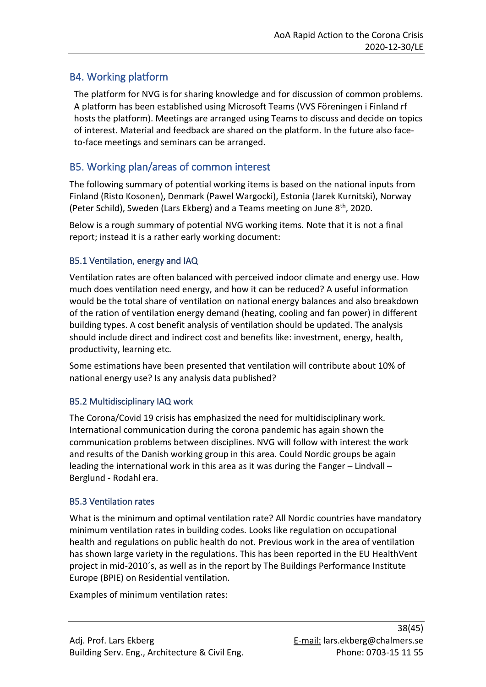## <span id="page-37-0"></span>B4. Working platform

The platform for NVG is for sharing knowledge and for discussion of common problems. A platform has been established using Microsoft Teams (VVS Föreningen i Finland rf hosts the platform). Meetings are arranged using Teams to discuss and decide on topics of interest. Material and feedback are shared on the platform. In the future also faceto-face meetings and seminars can be arranged.

## <span id="page-37-1"></span>B5. Working plan/areas of common interest

The following summary of potential working items is based on the national inputs from Finland (Risto Kosonen), Denmark (Pawel Wargocki), Estonia (Jarek Kurnitski), Norway (Peter Schild), Sweden (Lars Ekberg) and a Teams meeting on June 8<sup>th</sup>, 2020.

Below is a rough summary of potential NVG working items. Note that it is not a final report; instead it is a rather early working document:

## <span id="page-37-2"></span>B5.1 Ventilation, energy and IAQ

Ventilation rates are often balanced with perceived indoor climate and energy use. How much does ventilation need energy, and how it can be reduced? A useful information would be the total share of ventilation on national energy balances and also breakdown of the ration of ventilation energy demand (heating, cooling and fan power) in different building types. A cost benefit analysis of ventilation should be updated. The analysis should include direct and indirect cost and benefits like: investment, energy, health, productivity, learning etc.

Some estimations have been presented that ventilation will contribute about 10% of national energy use? Is any analysis data published?

## <span id="page-37-3"></span>B5.2 Multidisciplinary IAQ work

The Corona/Covid 19 crisis has emphasized the need for multidisciplinary work. International communication during the corona pandemic has again shown the communication problems between disciplines. NVG will follow with interest the work and results of the Danish working group in this area. Could Nordic groups be again leading the international work in this area as it was during the Fanger – Lindvall – Berglund - Rodahl era.

### <span id="page-37-4"></span>B5.3 Ventilation rates

What is the minimum and optimal ventilation rate? All Nordic countries have mandatory minimum ventilation rates in building codes. Looks like regulation on occupational health and regulations on public health do not. Previous work in the area of ventilation has shown large variety in the regulations. This has been reported in the EU HealthVent project in mid-2010´s, as well as in the report by The Buildings Performance Institute Europe (BPIE) on Residential ventilation.

Examples of minimum ventilation rates: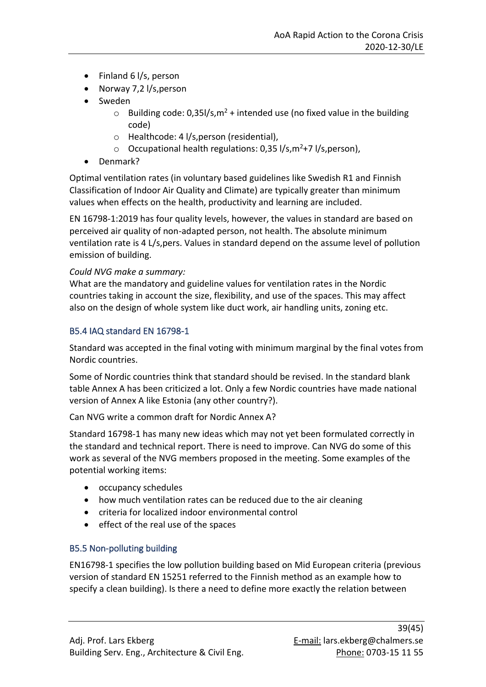- Finland 6 l/s, person
- Norway 7,2 l/s, person
- Sweden
	- $\circ$  Building code: 0,35l/s, m<sup>2</sup> + intended use (no fixed value in the building code)
	- o Healthcode: 4 l/s,person (residential),
	- $\circ$  Occupational health regulations: 0,35 l/s, m<sup>2</sup>+7 l/s, person),
- Denmark?

Optimal ventilation rates (in voluntary based guidelines like Swedish R1 and Finnish Classification of Indoor Air Quality and Climate) are typically greater than minimum values when effects on the health, productivity and learning are included.

EN 16798-1:2019 has four quality levels, however, the values in standard are based on perceived air quality of non-adapted person, not health. The absolute minimum ventilation rate is 4 L/s,pers. Values in standard depend on the assume level of pollution emission of building.

### *Could NVG make a summary:*

What are the mandatory and guideline values for ventilation rates in the Nordic countries taking in account the size, flexibility, and use of the spaces. This may affect also on the design of whole system like duct work, air handling units, zoning etc.

### <span id="page-38-0"></span>B5.4 IAQ standard EN 16798-1

Standard was accepted in the final voting with minimum marginal by the final votes from Nordic countries.

Some of Nordic countries think that standard should be revised. In the standard blank table Annex A has been criticized a lot. Only a few Nordic countries have made national version of Annex A like Estonia (any other country?).

Can NVG write a common draft for Nordic Annex A?

Standard 16798-1 has many new ideas which may not yet been formulated correctly in the standard and technical report. There is need to improve. Can NVG do some of this work as several of the NVG members proposed in the meeting. Some examples of the potential working items:

- occupancy schedules
- how much ventilation rates can be reduced due to the air cleaning
- criteria for localized indoor environmental control
- effect of the real use of the spaces

## <span id="page-38-1"></span>B5.5 Non-polluting building

EN16798-1 specifies the low pollution building based on Mid European criteria (previous version of standard EN 15251 referred to the Finnish method as an example how to specify a clean building). Is there a need to define more exactly the relation between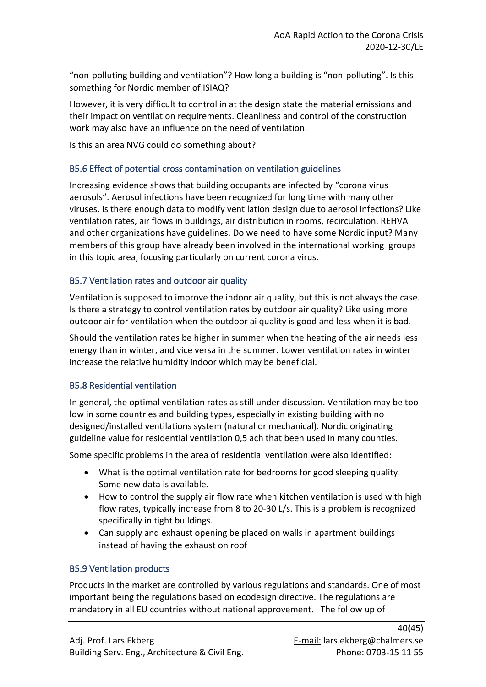"non-polluting building and ventilation"? How long a building is "non-polluting". Is this something for Nordic member of ISIAQ?

However, it is very difficult to control in at the design state the material emissions and their impact on ventilation requirements. Cleanliness and control of the construction work may also have an influence on the need of ventilation.

Is this an area NVG could do something about?

### <span id="page-39-0"></span>B5.6 Effect of potential cross contamination on ventilation guidelines

Increasing evidence shows that building occupants are infected by "corona virus aerosols". Aerosol infections have been recognized for long time with many other viruses. Is there enough data to modify ventilation design due to aerosol infections? Like ventilation rates, air flows in buildings, air distribution in rooms, recirculation. REHVA and other organizations have guidelines. Do we need to have some Nordic input? Many members of this group have already been involved in the international working groups in this topic area, focusing particularly on current corona virus.

#### <span id="page-39-1"></span>B5.7 Ventilation rates and outdoor air quality

Ventilation is supposed to improve the indoor air quality, but this is not always the case. Is there a strategy to control ventilation rates by outdoor air quality? Like using more outdoor air for ventilation when the outdoor ai quality is good and less when it is bad.

Should the ventilation rates be higher in summer when the heating of the air needs less energy than in winter, and vice versa in the summer. Lower ventilation rates in winter increase the relative humidity indoor which may be beneficial.

### <span id="page-39-2"></span>B5.8 Residential ventilation

In general, the optimal ventilation rates as still under discussion. Ventilation may be too low in some countries and building types, especially in existing building with no designed/installed ventilations system (natural or mechanical). Nordic originating guideline value for residential ventilation 0,5 ach that been used in many counties.

Some specific problems in the area of residential ventilation were also identified:

- What is the optimal ventilation rate for bedrooms for good sleeping quality. Some new data is available.
- How to control the supply air flow rate when kitchen ventilation is used with high flow rates, typically increase from 8 to 20-30 L/s. This is a problem is recognized specifically in tight buildings.
- Can supply and exhaust opening be placed on walls in apartment buildings instead of having the exhaust on roof

### <span id="page-39-3"></span>B5.9 Ventilation products

Products in the market are controlled by various regulations and standards. One of most important being the regulations based on ecodesign directive. The regulations are mandatory in all EU countries without national approvement. The follow up of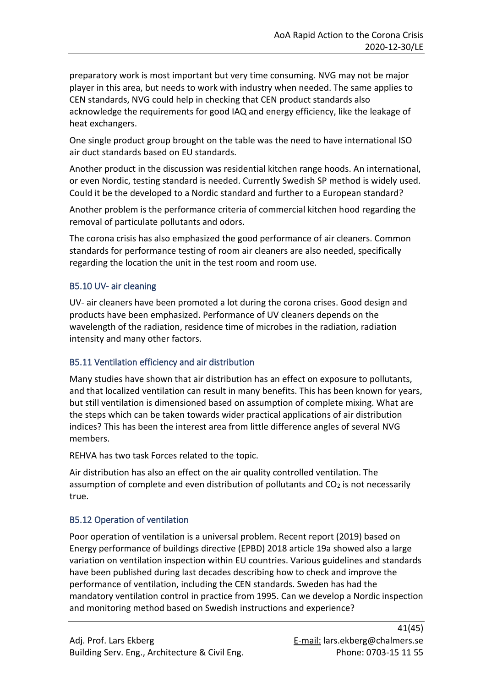preparatory work is most important but very time consuming. NVG may not be major player in this area, but needs to work with industry when needed. The same applies to CEN standards, NVG could help in checking that CEN product standards also acknowledge the requirements for good IAQ and energy efficiency, like the leakage of heat exchangers.

One single product group brought on the table was the need to have international ISO air duct standards based on EU standards.

Another product in the discussion was residential kitchen range hoods. An international, or even Nordic, testing standard is needed. Currently Swedish SP method is widely used. Could it be the developed to a Nordic standard and further to a European standard?

Another problem is the performance criteria of commercial kitchen hood regarding the removal of particulate pollutants and odors.

The corona crisis has also emphasized the good performance of air cleaners. Common standards for performance testing of room air cleaners are also needed, specifically regarding the location the unit in the test room and room use.

### <span id="page-40-0"></span>B5.10 UV- air cleaning

UV- air cleaners have been promoted a lot during the corona crises. Good design and products have been emphasized. Performance of UV cleaners depends on the wavelength of the radiation, residence time of microbes in the radiation, radiation intensity and many other factors.

### <span id="page-40-1"></span>B5.11 Ventilation efficiency and air distribution

Many studies have shown that air distribution has an effect on exposure to pollutants, and that localized ventilation can result in many benefits. This has been known for years, but still ventilation is dimensioned based on assumption of complete mixing. What are the steps which can be taken towards wider practical applications of air distribution indices? This has been the interest area from little difference angles of several NVG members.

REHVA has two task Forces related to the topic.

Air distribution has also an effect on the air quality controlled ventilation. The assumption of complete and even distribution of pollutants and  $CO<sub>2</sub>$  is not necessarily true.

### <span id="page-40-2"></span>B5.12 Operation of ventilation

Poor operation of ventilation is a universal problem. Recent report (2019) based on Energy performance of buildings directive (EPBD) 2018 article 19a showed also a large variation on ventilation inspection within EU countries. Various guidelines and standards have been published during last decades describing how to check and improve the performance of ventilation, including the CEN standards. Sweden has had the mandatory ventilation control in practice from 1995. Can we develop a Nordic inspection and monitoring method based on Swedish instructions and experience?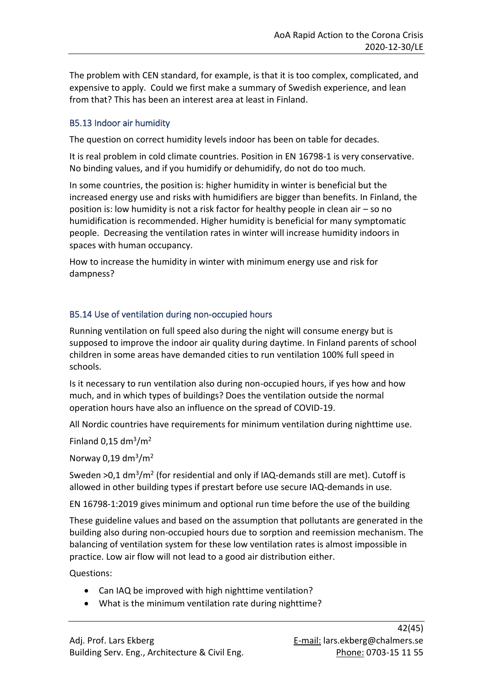The problem with CEN standard, for example, is that it is too complex, complicated, and expensive to apply. Could we first make a summary of Swedish experience, and lean from that? This has been an interest area at least in Finland.

### <span id="page-41-0"></span>B5.13 Indoor air humidity

The question on correct humidity levels indoor has been on table for decades.

It is real problem in cold climate countries. Position in EN 16798-1 is very conservative. No binding values, and if you humidify or dehumidify, do not do too much.

In some countries, the position is: higher humidity in winter is beneficial but the increased energy use and risks with humidifiers are bigger than benefits. In Finland, the position is: low humidity is not a risk factor for healthy people in clean air – so no humidification is recommended. Higher humidity is beneficial for many symptomatic people. Decreasing the ventilation rates in winter will increase humidity indoors in spaces with human occupancy.

How to increase the humidity in winter with minimum energy use and risk for dampness?

### <span id="page-41-1"></span>B5.14 Use of ventilation during non-occupied hours

Running ventilation on full speed also during the night will consume energy but is supposed to improve the indoor air quality during daytime. In Finland parents of school children in some areas have demanded cities to run ventilation 100% full speed in schools.

Is it necessary to run ventilation also during non-occupied hours, if yes how and how much, and in which types of buildings? Does the ventilation outside the normal operation hours have also an influence on the spread of COVID-19.

All Nordic countries have requirements for minimum ventilation during nighttime use.

Finland  $0,15$  dm<sup>3</sup>/m<sup>2</sup>

Norway 0,19 dm<sup>3</sup>/m<sup>2</sup>

Sweden  $>0.1$  dm<sup>3</sup>/m<sup>2</sup> (for residential and only if IAQ-demands still are met). Cutoff is allowed in other building types if prestart before use secure IAQ-demands in use.

EN 16798-1:2019 gives minimum and optional run time before the use of the building

These guideline values and based on the assumption that pollutants are generated in the building also during non-occupied hours due to sorption and reemission mechanism. The balancing of ventilation system for these low ventilation rates is almost impossible in practice. Low air flow will not lead to a good air distribution either.

Questions:

- Can IAQ be improved with high nighttime ventilation?
- What is the minimum ventilation rate during nighttime?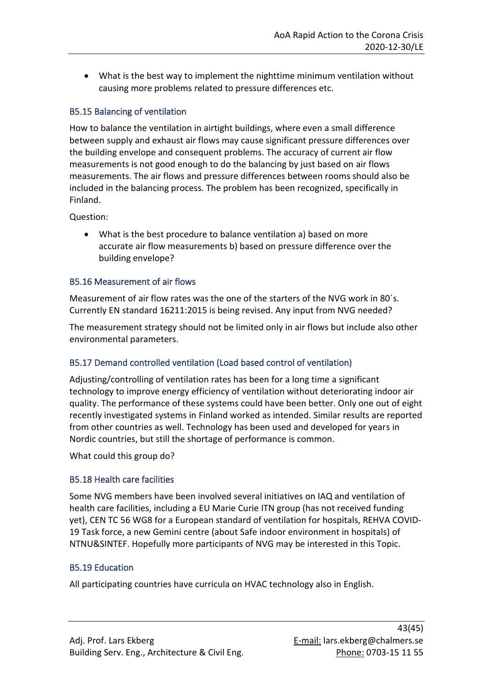• What is the best way to implement the nighttime minimum ventilation without causing more problems related to pressure differences etc.

### <span id="page-42-0"></span>B5.15 Balancing of ventilation

How to balance the ventilation in airtight buildings, where even a small difference between supply and exhaust air flows may cause significant pressure differences over the building envelope and consequent problems. The accuracy of current air flow measurements is not good enough to do the balancing by just based on air flows measurements. The air flows and pressure differences between rooms should also be included in the balancing process. The problem has been recognized, specifically in Finland.

Question:

• What is the best procedure to balance ventilation a) based on more accurate air flow measurements b) based on pressure difference over the building envelope?

### <span id="page-42-1"></span>B5.16 Measurement of air flows

Measurement of air flow rates was the one of the starters of the NVG work in 80´s. Currently EN standard 16211:2015 is being revised. Any input from NVG needed?

The measurement strategy should not be limited only in air flows but include also other environmental parameters.

### <span id="page-42-2"></span>B5.17 Demand controlled ventilation (Load based control of ventilation)

Adjusting/controlling of ventilation rates has been for a long time a significant technology to improve energy efficiency of ventilation without deteriorating indoor air quality. The performance of these systems could have been better. Only one out of eight recently investigated systems in Finland worked as intended. Similar results are reported from other countries as well. Technology has been used and developed for years in Nordic countries, but still the shortage of performance is common.

What could this group do?

## <span id="page-42-3"></span>B5.18 Health care facilities

Some NVG members have been involved several initiatives on IAQ and ventilation of health care facilities, including a EU Marie Curie ITN group (has not received funding yet), CEN TC 56 WG8 for a European standard of ventilation for hospitals, REHVA COVID-19 Task force, a new Gemini centre (about Safe indoor environment in hospitals) of NTNU&SINTEF. Hopefully more participants of NVG may be interested in this Topic.

### <span id="page-42-4"></span>B5.19 Education

All participating countries have curricula on HVAC technology also in English.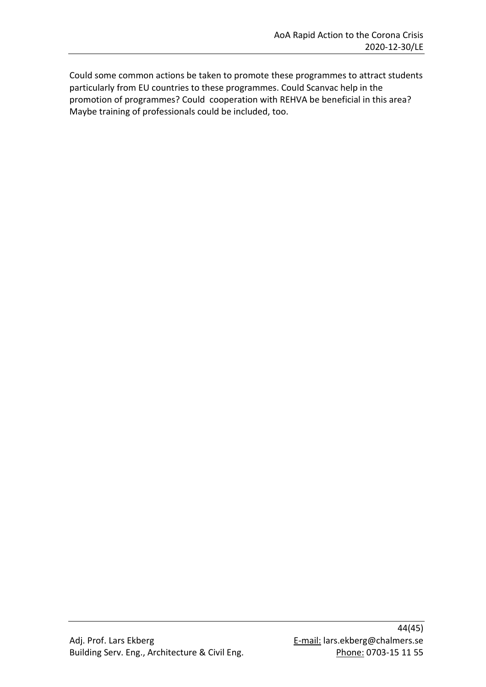Could some common actions be taken to promote these programmes to attract students particularly from EU countries to these programmes. Could Scanvac help in the promotion of programmes? Could cooperation with REHVA be beneficial in this area? Maybe training of professionals could be included, too.